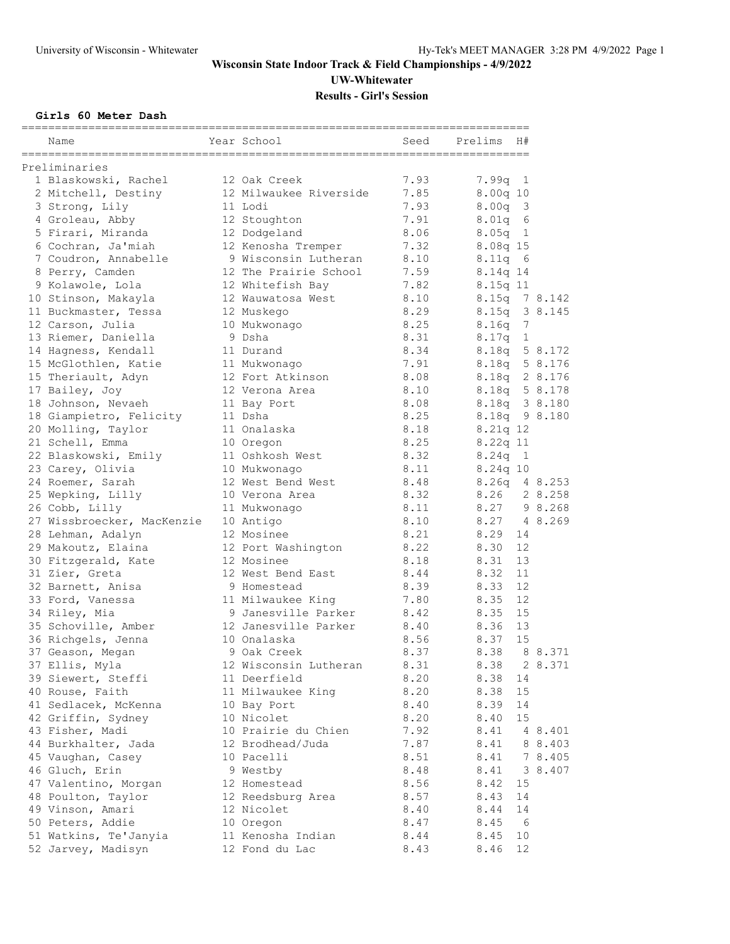#### **Girls 60 Meter Dash**

| Name                       | Year School                              | Seed | Prelims<br>H# |         |
|----------------------------|------------------------------------------|------|---------------|---------|
| Preliminaries              |                                          |      |               |         |
| 1 Blaskowski, Rachel       | 12 Oak Creek                             | 7.93 | 7.99q 1       |         |
| 2 Mitchell, Destiny        | 12 Milwaukee Riverside                   | 7.85 | 8.00q 10      |         |
| 3 Strong, Lily             | 11 Lodi                                  | 7.93 | $8.00q$ 3     |         |
| 4 Groleau, Abby            | 12 Stoughton                             | 7.91 | $8.01q$ 6     |         |
| 5 Firari, Miranda          | 12 Dodgeland                             | 8.06 | $8.05q$ 1     |         |
| 6 Cochran, Ja'miah         | 12 Kenosha Tremper                       | 7.32 | 8.08q 15      |         |
| 7 Coudron, Annabelle       | 9 Wisconsin Lutheran                     | 8.10 | 8.11q<br>- 6  |         |
| 8 Perry, Camden            | 12 The Prairie School                    | 7.59 | $8.14q$ 14    |         |
| 9 Kolawole, Lola           | 12 Whitefish Bay                         | 7.82 | 8.15q 11      |         |
| 10 Stinson, Makayla        | 12 Wauwatosa West                        | 8.10 | 8.15q 7 8.142 |         |
| 11 Buckmaster, Tessa       | 12 Muskego                               | 8.29 | 8.15q 3 8.145 |         |
| 12 Carson, Julia           | 10 Mukwonago                             | 8.25 | 8.16q<br>7    |         |
| 13 Riemer, Daniella        | 9 Dsha                                   | 8.31 | $8.17q$ 1     |         |
| 14 Hagness, Kendall        | 11 Durand                                | 8.34 | 8.18q 5 8.172 |         |
| 15 McGlothlen, Katie       | 11 Mukwonago                             | 7.91 | 8.18q 5 8.176 |         |
| 15 Theriault, Adyn         | 12 Fort Atkinson                         | 8.08 | 8.18q 2 8.176 |         |
| 17 Bailey, Joy             | 12 Verona Area                           | 8.10 | 8.18q 5 8.178 |         |
| 18 Johnson, Nevaeh         | 11 Bay Port                              | 8.08 | 8.18q 3 8.180 |         |
| 18 Giampietro, Felicity    | 11 Dsha                                  | 8.25 | 8.18q 9 8.180 |         |
| 20 Molling, Taylor         | 11 Onalaska                              | 8.18 | 8.21q 12      |         |
| 21 Schell, Emma            | 10 Oregon                                | 8.25 | 8.22q 11      |         |
| 22 Blaskowski, Emily       | 11 Oshkosh West                          | 8.32 | $8.24q$ 1     |         |
| 23 Carey, Olivia           | 10 Mukwonago                             | 8.11 | 8.24q 10      |         |
| 24 Roemer, Sarah           | 12 West Bend West                        | 8.48 | 8.26q 4 8.253 |         |
| 25 Wepking, Lilly          | 10 Verona Area                           | 8.32 | 8.26          | 2 8.258 |
| 26 Cobb, Lilly             | 11 Mukwonago                             | 8.11 | 8.27 9 8.268  |         |
| 27 Wissbroecker, MacKenzie | 10 Antigo                                | 8.10 | 8.27 4 8.269  |         |
| 28 Lehman, Adalyn          | 12 Mosinee                               | 8.21 | 8.29<br>14    |         |
| 29 Makoutz, Elaina         | 12 Port Washington                       | 8.22 | 8.30<br>12    |         |
| 30 Fitzgerald, Kate        | 12 Mosinee                               | 8.18 | 13<br>8.31    |         |
|                            | 12 West Bend East                        | 8.44 | 8.32<br>11    |         |
| 31 Zier, Greta             | 9 Homestead                              | 8.39 | 12<br>8.33    |         |
| 32 Barnett, Anisa          |                                          |      | 12            |         |
| 33 Ford, Vanessa           | 11 Milwaukee King<br>9 Janesville Parker | 7.80 | 8.35<br>15    |         |
| 34 Riley, Mia              |                                          | 8.42 | 8.35          |         |
| 35 Schoville, Amber        | 12 Janesville Parker                     | 8.40 | 8.36<br>13    |         |
| 36 Richgels, Jenna         | 10 Onalaska                              | 8.56 | 15<br>8.37    | 8 8.371 |
| 37 Geason, Megan           | 9 Oak Creek                              | 8.37 | 8.38          |         |
| 37 Ellis, Myla             | 12 Wisconsin Lutheran                    | 8.31 | 8.38          | 2 8.371 |
| 39 Siewert, Steffi         | 11 Deerfield                             | 8.20 | 8.38<br>14    |         |
| 40 Rouse, Faith            | 11 Milwaukee King                        | 8.20 | 8.38<br>15    |         |
| 41 Sedlacek, McKenna       | 10 Bay Port                              | 8.40 | 8.39<br>14    |         |
| 42 Griffin, Sydney         | 10 Nicolet                               | 8.20 | 15<br>8.40    |         |
| 43 Fisher, Madi            | 10 Prairie du Chien                      | 7.92 | 8.41          | 4 8.401 |
| 44 Burkhalter, Jada        | 12 Brodhead/Juda                         | 7.87 | 8.41          | 8 8.403 |
| 45 Vaughan, Casey          | 10 Pacelli                               | 8.51 | 8.41          | 7 8.405 |
| 46 Gluch, Erin             | 9 Westby                                 | 8.48 | 8.41          | 3 8.407 |
| 47 Valentino, Morgan       | 12 Homestead                             | 8.56 | 8.42<br>15    |         |
| 48 Poulton, Taylor         | 12 Reedsburg Area                        | 8.57 | 8.43<br>14    |         |
| 49 Vinson, Amari           | 12 Nicolet                               | 8.40 | 8.44<br>14    |         |
| 50 Peters, Addie           | 10 Oregon                                | 8.47 | 8.45<br>6     |         |
| 51 Watkins, Te'Janyia      | 11 Kenosha Indian                        | 8.44 | 8.45<br>10    |         |
| 52 Jarvey, Madisyn         | 12 Fond du Lac                           | 8.43 | 12<br>8.46    |         |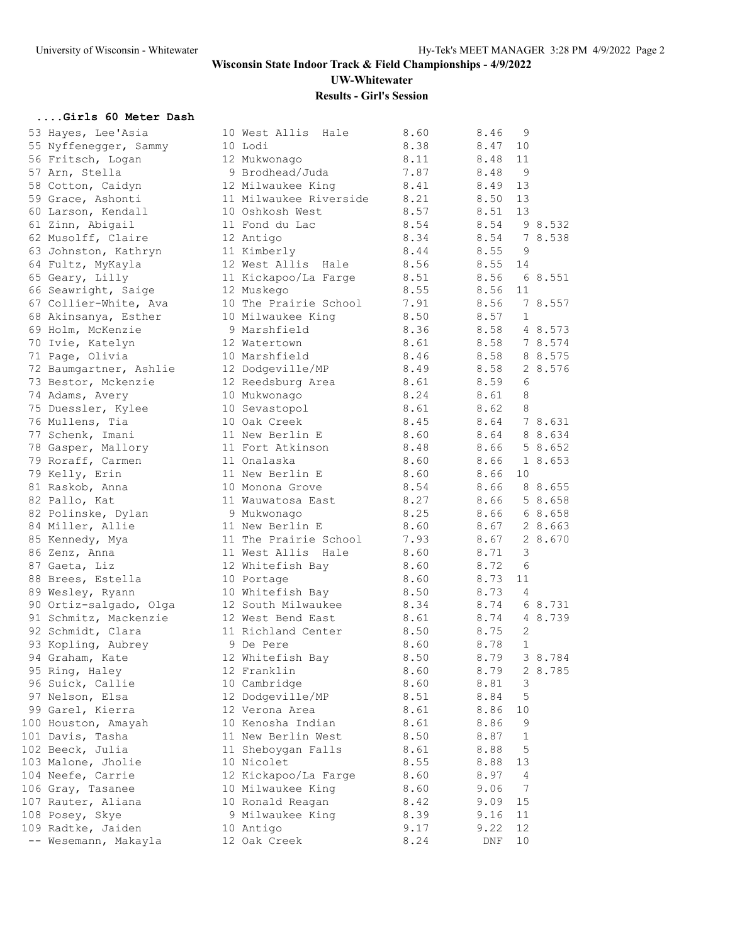#### **....Girls 60 Meter Dash**

| 53 Hayes, Lee'Asia                              | 10 West Allis Hale             | 8.60 | 8.46         | 9              |         |
|-------------------------------------------------|--------------------------------|------|--------------|----------------|---------|
| 55 Nyffenegger, Sammy                           | 10 Lodi                        | 8.38 | 8.47         | 10             |         |
| 56 Fritsch, Logan                               | 12 Mukwonago                   | 8.11 | 8.48         | 11             |         |
| 57 Arn, Stella                                  | 9 Brodhead/Juda                | 7.87 | 8.48         | 9              |         |
| 58 Cotton, Caidyn                               | 12 Milwaukee King              | 8.41 | 8.49         | 13             |         |
| 59 Grace, Ashonti                               | 11 Milwaukee Riverside         | 8.21 | 8.50         | 13             |         |
| 60 Larson, Kendall                              | 10 Oshkosh West                | 8.57 | 8.51         | 13             |         |
| 61 Zinn, Abigail                                | 11 Fond du Lac                 | 8.54 | 8.54         |                | 9 8.532 |
| 62 Musolff, Claire                              | 12 Antigo                      | 8.34 | 8.54         |                | 7 8.538 |
| 63 Johnston, Kathryn                            | 11 Kimberly                    | 8.44 | 8.55         | 9              |         |
| 64 Fultz, MyKayla                               | 12 West Allis<br>Hale          | 8.56 | 8.55         | 14             |         |
| 65 Geary, Lilly                                 | 11 Kickapoo/La Farge           | 8.51 | 8.56         |                | 68.551  |
| 66 Seawright, Saige                             | 12 Muskego                     | 8.55 | 8.56         | 11             |         |
| 67 Collier-White, Ava                           | 10 The Prairie School          | 7.91 | 8.56         |                | 7 8.557 |
| 68 Akinsanya, Esther                            | 10 Milwaukee King              | 8.50 | 8.57         | $\mathbf{1}$   |         |
| 69 Holm, McKenzie                               | 9 Marshfield                   | 8.36 | 8.58         |                | 4 8.573 |
| 70 Ivie, Katelyn                                | 12 Watertown                   | 8.61 | 8.58         |                | 7 8.574 |
| 71 Page, Olivia                                 | 10 Marshfield                  | 8.46 | 8.58         |                | 8 8.575 |
| 72 Baumgartner, Ashlie                          | 12 Dodgeville/MP               | 8.49 | 8.58         |                | 2 8.576 |
| 73 Bestor, Mckenzie                             | 12 Reedsburg Area              | 8.61 | 8.59         | 6              |         |
| 74 Adams, Avery                                 | 10 Mukwonago                   | 8.24 | 8.61         | 8              |         |
| 75 Duessler, Kylee                              | 10 Sevastopol                  | 8.61 | 8.62         | 8              |         |
| 76 Mullens, Tia                                 | 10 Oak Creek                   | 8.45 | 8.64         |                | 7 8.631 |
| 77 Schenk, Imani                                | 11 New Berlin E                | 8.60 | 8.64         |                | 8 8.634 |
| 78 Gasper, Mallory                              | 11 Fort Atkinson               | 8.48 | 8.66         |                | 5 8.652 |
| 79 Roraff, Carmen                               | 11 Onalaska                    | 8.60 | 8.66         |                | 1 8.653 |
| 79 Kelly, Erin                                  | 11 New Berlin E                | 8.60 | 8.66         | 10             |         |
| 81 Raskob, Anna                                 | 10 Monona Grove                | 8.54 | 8.66         |                | 8 8.655 |
| 82 Pallo, Kat                                   | 11 Wauwatosa East              | 8.27 | 8.66         |                | 5 8.658 |
| 82 Polinske, Dylan                              | 9 Mukwonaqo                    | 8.25 | 8.66         |                | 68.658  |
| 84 Miller, Allie                                | 11 New Berlin E                | 8.60 | 8.67         |                | 2 8.663 |
|                                                 | 11 The Prairie School          | 7.93 | 8.67         |                | 2 8.670 |
| 85 Kennedy, Mya                                 | 11 West Allis Hale             | 8.60 | 8.71         | 3              |         |
| 86 Zenz, Anna                                   |                                | 8.60 | 8.72         | 6              |         |
| 87 Gaeta, Liz                                   | 12 Whitefish Bay               | 8.60 | 8.73         | 11             |         |
| 88 Brees, Estella                               | 10 Portage<br>10 Whitefish Bay | 8.50 | 8.73         | 4              |         |
| 89 Wesley, Ryann                                | 12 South Milwaukee             | 8.34 | 8.74         |                | 6 8.731 |
| 90 Ortiz-salgado, Olga<br>91 Schmitz, Mackenzie |                                | 8.61 | 8.74         |                |         |
|                                                 | 12 West Bend East              |      |              |                | 4 8.739 |
| 92 Schmidt, Clara                               | 11 Richland Center             | 8.50 | 8.75         | 2              |         |
| 93 Kopling, Aubrey                              | 9 De Pere                      | 8.60 | 8.78<br>8.79 | 1              |         |
| 94 Graham, Kate                                 | 12 Whitefish Bay               | 8.50 |              |                | 3 8.784 |
| 95 Ring, Haley                                  | 12 Franklin                    | 8.60 | 8.79         |                | 2 8.785 |
| 96 Suick, Callie                                | 10 Cambridge                   | 8.60 | 8.81         | $\mathsf 3$    |         |
| 97 Nelson, Elsa                                 | 12 Dodgeville/MP               | 8.51 | 8.84         | 5              |         |
| 99 Garel, Kierra                                | 12 Verona Area                 | 8.61 | 8.86         | 10             |         |
| 100 Houston, Amayah                             | 10 Kenosha Indian              | 8.61 | 8.86         | 9              |         |
| 101 Davis, Tasha                                | 11 New Berlin West             | 8.50 | 8.87         | 1              |         |
| 102 Beeck, Julia                                | 11 Sheboygan Falls             | 8.61 | 8.88         | 5              |         |
| 103 Malone, Jholie                              | 10 Nicolet                     | 8.55 | 8.88         | 13             |         |
| 104 Neefe, Carrie                               | 12 Kickapoo/La Farge           | 8.60 | 8.97         | $\overline{4}$ |         |
| 106 Gray, Tasanee                               | 10 Milwaukee King              | 8.60 | 9.06         | 7              |         |
| 107 Rauter, Aliana                              | 10 Ronald Reagan               | 8.42 | 9.09         | 15             |         |
| 108 Posey, Skye                                 | 9 Milwaukee King               | 8.39 | 9.16         | 11             |         |
| 109 Radtke, Jaiden                              | 10 Antigo                      | 9.17 | 9.22         | 12             |         |
| -- Wesemann, Makayla                            | 12 Oak Creek                   | 8.24 | DNF          | 10             |         |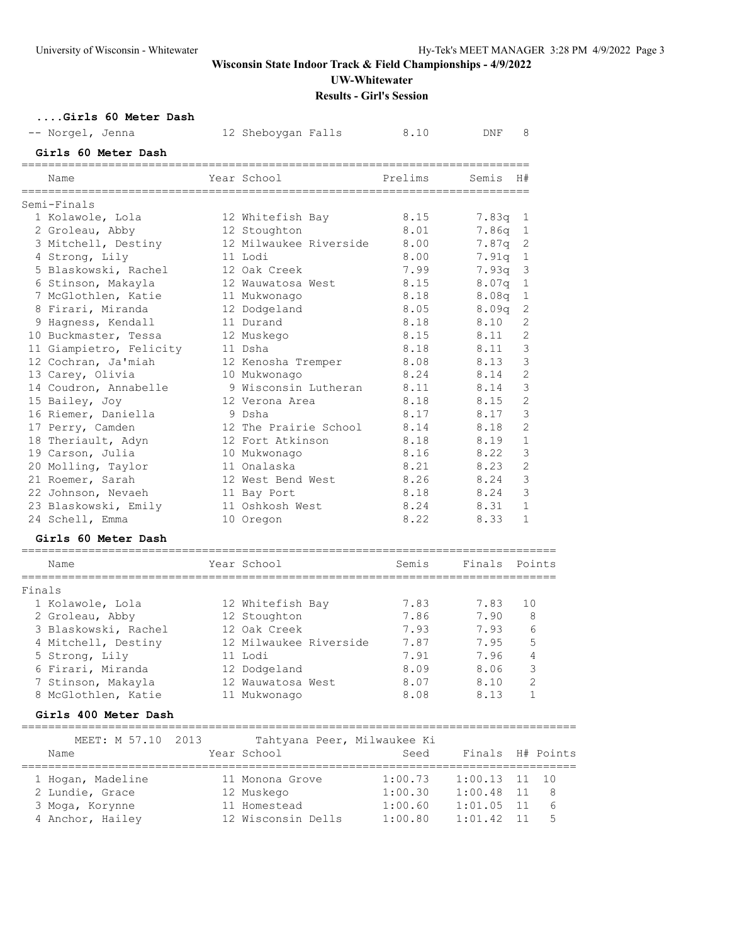# **Wisconsin State Indoor Track & Field Championships - 4/9/2022**

**UW-Whitewater**

#### **Results - Girl's Session**

#### **....Girls 60 Meter Dash**

| -- Norgel, Jenna                            |                         | 12 Sheboygan Falls          | 8.10    | DNF           | 8              |
|---------------------------------------------|-------------------------|-----------------------------|---------|---------------|----------------|
| Girls 60 Meter Dash                         |                         |                             |         |               |                |
| Name                                        |                         | Year School                 | Prelims | Semis         | H#             |
| Semi-Finals                                 |                         |                             |         |               |                |
| 1 Kolawole, Lola                            |                         | 12 Whitefish Bay            | 8.15    | 7.83q         | 1              |
| 2 Groleau, Abby                             |                         | 12 Stoughton                | 8.01    | 7.86q         | 1              |
| 3 Mitchell, Destiny                         |                         | 12 Milwaukee Riverside      | 8.00    | 7.87q         | $\mathbf{2}$   |
| 4 Strong, Lily                              |                         | 11 Lodi                     | 8.00    | 7.91q         | $\mathbf{1}$   |
| 5 Blaskowski, Rachel                        |                         | 12 Oak Creek                | 7.99    | 7.93q         | 3              |
| 6 Stinson, Makayla                          |                         | 12 Wauwatosa West           | 8.15    | 8.07q         | 1              |
| 7 McGlothlen, Katie                         |                         | 11 Mukwonago                | 8.18    | 8.08q         | 1              |
| 8 Firari, Miranda                           |                         | 12 Dodgeland                | 8.05    | 8.09q         | 2              |
| 9 Hagness, Kendall                          |                         | 11 Durand                   | 8.18    | 8.10          | 2              |
| 10 Buckmaster, Tessa                        |                         | 12 Muskego                  | 8.15    | 8.11          | 2              |
|                                             | 11 Giampietro, Felicity | 11 Dsha                     | 8.18    | 8.11          | 3              |
| 12 Cochran, Ja'miah                         |                         | 12 Kenosha Tremper          | 8.08    | 8.13          | 3              |
| 13 Carey, Olivia                            |                         | 10 Mukwonago                | 8.24    | 8.14          | $\overline{c}$ |
| 14 Coudron, Annabelle                       |                         | 9 Wisconsin Lutheran        | 8.11    | 8.14          | 3              |
| 15 Bailey, Joy                              |                         | 12 Verona Area              | 8.18    | 8.15          | $\overline{c}$ |
| 16 Riemer, Daniella                         |                         | 9 Dsha                      | 8.17    | 8.17          | 3              |
| 17 Perry, Camden                            |                         | 12 The Prairie School       | 8.14    | 8.18          | $\overline{c}$ |
| 18 Theriault, Adyn                          |                         | 12 Fort Atkinson            | 8.18    | 8.19          | $\mathbf{1}$   |
| 19 Carson, Julia                            |                         | 10 Mukwonago                | 8.16    | 8.22          | 3              |
| 20 Molling, Taylor                          |                         | 11 Onalaska                 | 8.21    | 8.23          | 2              |
| 21 Roemer, Sarah                            |                         | 12 West Bend West           | 8.26    | 8.24          | 3              |
| 22 Johnson, Nevaeh                          |                         | 11 Bay Port                 | 8.18    | 8.24          | 3              |
| 23 Blaskowski, Emily                        |                         | 11 Oshkosh West             | 8.24    | 8.31          | $\mathbf{1}$   |
| 24 Schell, Emma                             |                         | 10 Oregon                   | 8.22    | 8.33          | $\mathbf{1}$   |
| Girls 60 Meter Dash                         |                         |                             |         |               |                |
| Name                                        |                         | Year School                 | Semis   | Finals Points |                |
|                                             |                         |                             |         |               |                |
| Finals<br>1 Kolawole, Lola                  |                         | 12 Whitefish Bay            | 7.83    | 7.83          | 10             |
|                                             |                         | 12 Stoughton                | 7.86    | 7.90          | 8              |
| 2 Groleau, Abby                             |                         | 12 Oak Creek                | 7.93    | 7.93          | 6              |
| 3 Blaskowski, Rachel<br>4 Mitchell, Destiny |                         | 12 Milwaukee Riverside      | 7.87    | 7.95          | 5              |
|                                             |                         |                             | 7.91    | 7.96          | 4              |
| 5 Strong, Lily<br>6 Firari, Miranda         |                         | 11 Lodi                     |         |               |                |
|                                             |                         | 12 Dodgeland                | 8.09    | 8.06          | 3              |
| 7 Stinson, Makayla                          |                         | 12 Wauwatosa West           | 8.07    | 8.10          | 2<br>1         |
| 8 McGlothlen, Katie<br>Girls 400 Meter Dash |                         | 11 Mukwonago                | 8.08    | 8.13          |                |
|                                             |                         |                             |         |               |                |
|                                             | MEET: M 57.10<br>2013   | Tahtyana Peer, Milwaukee Ki |         |               |                |
| Name                                        |                         | Year School                 | Seed    | Finals        | H# Points      |

| 8                                                               |
|-----------------------------------------------------------------|
| h                                                               |
|                                                                 |
| $1:00.13$ 11 10<br>$1:00.48$ 11<br>$1:01.05$ 11<br>$1:01.42$ 11 |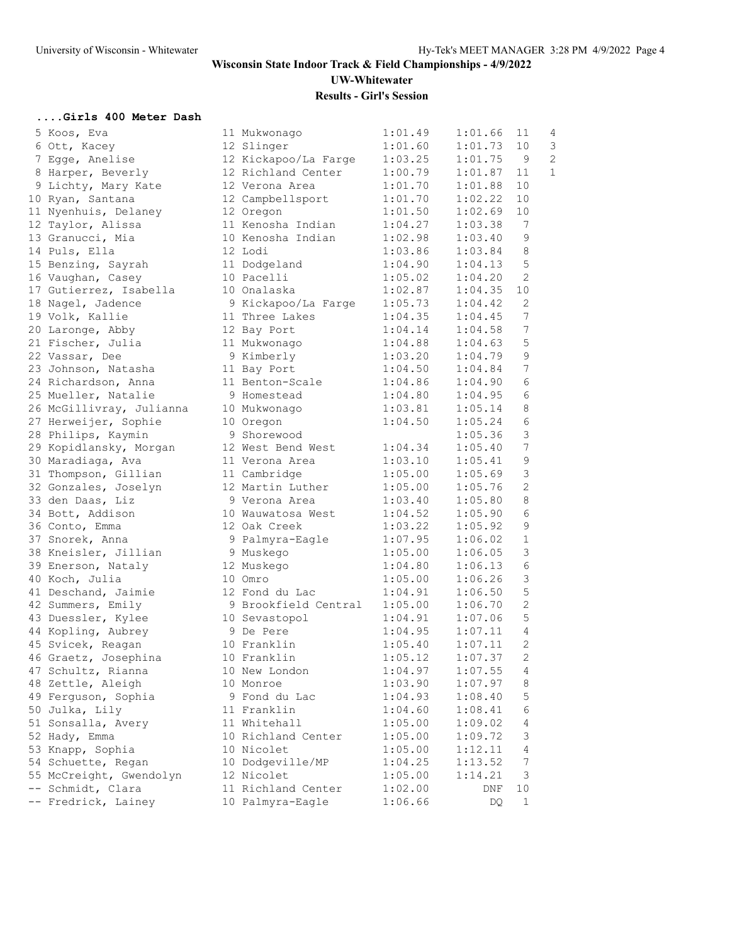#### **....Girls 400 Meter Dash**

| 5 Koos, Eva              | 11 Mukwonago         | 1:01.49 | 1:01.66 | 11               | 4              |
|--------------------------|----------------------|---------|---------|------------------|----------------|
| 6 Ott, Kacey             | 12 Slinger           | 1:01.60 | 1:01.73 | 10               | 3              |
| 7 Egge, Anelise          | 12 Kickapoo/La Farge | 1:03.25 | 1:01.75 | 9                | $\overline{c}$ |
| 8 Harper, Beverly        | 12 Richland Center   | 1:00.79 | 1:01.87 | 11               | $\mathbf{1}$   |
| 9 Lichty, Mary Kate      | 12 Verona Area       | 1:01.70 | 1:01.88 | 10               |                |
| 10 Ryan, Santana         | 12 Campbellsport     | 1:01.70 | 1:02.22 | 10               |                |
| 11 Nyenhuis, Delaney     | 12 Oregon            | 1:01.50 | 1:02.69 | 10               |                |
| 12 Taylor, Alissa        | 11 Kenosha Indian    | 1:04.27 | 1:03.38 | 7                |                |
| 13 Granucci, Mia         | 10 Kenosha Indian    | 1:02.98 | 1:03.40 | 9                |                |
| 14 Puls, Ella            | 12 Lodi              | 1:03.86 | 1:03.84 | 8                |                |
| 15 Benzing, Sayrah       | 11 Dodgeland         | 1:04.90 | 1:04.13 | 5                |                |
| 16 Vaughan, Casey        | 10 Pacelli           | 1:05.02 | 1:04.20 | $\mathbf{2}$     |                |
| 17 Gutierrez, Isabella   | 10 Onalaska          | 1:02.87 | 1:04.35 | 10               |                |
| 18 Nagel, Jadence        | 9 Kickapoo/La Farge  | 1:05.73 | 1:04.42 | $\mathbf{2}$     |                |
| 19 Volk, Kallie          | 11 Three Lakes       | 1:04.35 | 1:04.45 | $7\phantom{.0}$  |                |
| 20 Laronge, Abby         | 12 Bay Port          | 1:04.14 | 1:04.58 | 7                |                |
| 21 Fischer, Julia        | 11 Mukwonago         | 1:04.88 | 1:04.63 | 5                |                |
| 22 Vassar, Dee           | 9 Kimberly           | 1:03.20 | 1:04.79 | 9                |                |
| 23 Johnson, Natasha      | 11 Bay Port          | 1:04.50 | 1:04.84 | $\boldsymbol{7}$ |                |
| 24 Richardson, Anna      | 11 Benton-Scale      | 1:04.86 | 1:04.90 | 6                |                |
| 25 Mueller, Natalie      | 9 Homestead          | 1:04.80 | 1:04.95 | 6                |                |
| 26 McGillivray, Julianna | 10 Mukwonago         | 1:03.81 | 1:05.14 | 8                |                |
| 27 Herweijer, Sophie     | 10 Oregon            | 1:04.50 | 1:05.24 | 6                |                |
| 28 Philips, Kaymin       | 9 Shorewood          |         | 1:05.36 | $\mathcal{S}$    |                |
| 29 Kopidlansky, Morgan   | 12 West Bend West    | 1:04.34 | 1:05.40 | $\sqrt{ }$       |                |
| 30 Maradiaga, Ava        | 11 Verona Area       | 1:03.10 | 1:05.41 | 9                |                |
| 31 Thompson, Gillian     | 11 Cambridge         | 1:05.00 | 1:05.69 | $\mathcal{S}$    |                |
| 32 Gonzales, Joselyn     | 12 Martin Luther     | 1:05.00 | 1:05.76 | 2                |                |
| 33 den Daas, Liz         | 9 Verona Area        | 1:03.40 | 1:05.80 | 8                |                |
| 34 Bott, Addison         | 10 Wauwatosa West    | 1:04.52 | 1:05.90 | $\epsilon$       |                |
| 36 Conto, Emma           | 12 Oak Creek         | 1:03.22 | 1:05.92 | $\mathsf 9$      |                |
| 37 Snorek, Anna          | 9 Palmyra-Eagle      | 1:07.95 | 1:06.02 | $\mathbf{1}$     |                |
| 38 Kneisler, Jillian     | 9 Muskego            | 1:05.00 | 1:06.05 | $\mathcal{S}$    |                |
| 39 Enerson, Nataly       | 12 Muskego           | 1:04.80 | 1:06.13 | 6                |                |
| 40 Koch, Julia           | 10 Omro              | 1:05.00 | 1:06.26 | 3                |                |
| 41 Deschand, Jaimie      | 12 Fond du Lac       | 1:04.91 | 1:06.50 | $\mathsf S$      |                |
| 42 Summers, Emily        | 9 Brookfield Central | 1:05.00 | 1:06.70 | $\mathbf{2}$     |                |
| 43 Duessler, Kylee       | 10 Sevastopol        | 1:04.91 | 1:07.06 | 5                |                |
| 44 Kopling, Aubrey       | 9 De Pere            | 1:04.95 | 1:07.11 | 4                |                |
| 45 Svicek, Reagan        | 10 Franklin          | 1:05.40 | 1:07.11 | 2                |                |
| 46 Graetz, Josephina     | 10 Franklin          | 1:05.12 | 1:07.37 | 2                |                |
| 47 Schultz, Rianna       | 10 New London        | 1:04.97 | 1:07.55 | 4                |                |
| 48 Zettle, Aleigh        | 10 Monroe            | 1:03.90 | 1:07.97 | 8                |                |
| 49 Ferguson, Sophia      | 9 Fond du Lac        | 1:04.93 | 1:08.40 | 5                |                |
| 50 Julka, Lily           | 11 Franklin          | 1:04.60 | 1:08.41 | 6                |                |
| 51 Sonsalla, Avery       | 11 Whitehall         | 1:05.00 | 1:09.02 | 4                |                |
| 52 Hady, Emma            | 10 Richland Center   | 1:05.00 | 1:09.72 | 3                |                |
| 53 Knapp, Sophia         | 10 Nicolet           | 1:05.00 | 1:12.11 | 4                |                |
| 54 Schuette, Regan       | 10 Dodgeville/MP     | 1:04.25 | 1:13.52 | 7                |                |
| 55 McCreight, Gwendolyn  | 12 Nicolet           | 1:05.00 | 1:14.21 | 3                |                |
| -- Schmidt, Clara        | 11 Richland Center   | 1:02.00 | DNF     | 10               |                |
| -- Fredrick, Lainey      | 10 Palmyra-Eagle     | 1:06.66 | DQ      | $\mathbf{1}$     |                |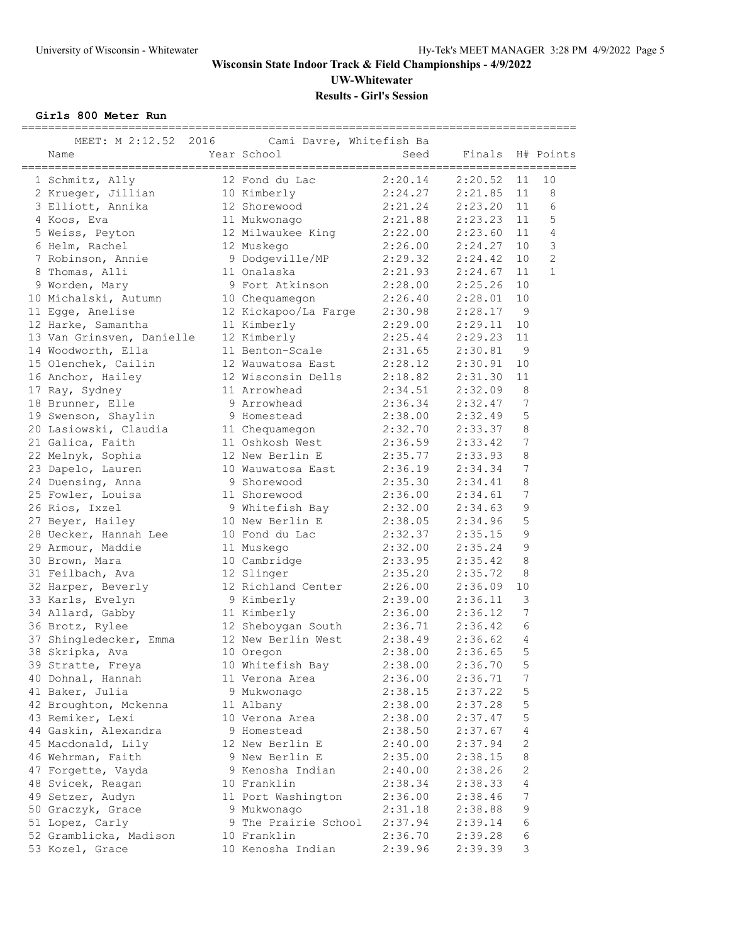### **Girls 800 Meter Run**

| MEET: M 2:12.52 2016<br>Name | Cami Davre, Whitefish Ba<br>Year School | ====================<br>Seed | Finals  |                  | H# Points    |
|------------------------------|-----------------------------------------|------------------------------|---------|------------------|--------------|
| 1 Schmitz, Ally              | 12 Fond du Lac                          | 2:20.14                      | 2:20.52 | 11               | 10           |
| 2 Krueger, Jillian           | 10 Kimberly                             | 2:24.27                      | 2:21.85 | 11               | 8            |
| 3 Elliott, Annika            | 12 Shorewood                            | 2:21.24                      | 2:23.20 | 11               | 6            |
| 4 Koos, Eva                  | 11 Mukwonago                            | 2:21.88                      | 2:23.23 | 11               | 5            |
| 5 Weiss, Peyton              | 12 Milwaukee King                       | 2:22.00                      | 2:23.60 | 11               | 4            |
| 6 Helm, Rachel               | 12 Muskego                              | 2:26.00                      | 2:24.27 | 10               | 3            |
| 7 Robinson, Annie            | 9 Dodgeville/MP                         | 2:29.32                      | 2:24.42 | 10               | $\mathbf{2}$ |
| 8 Thomas, Alli               | 11 Onalaska                             | 2:21.93                      | 2:24.67 | 11               | $\mathbf{1}$ |
| 9 Worden, Mary               | 9 Fort Atkinson                         | 2:28.00                      | 2:25.26 | 10               |              |
| 10 Michalski, Autumn         | 10 Chequamegon                          | 2:26.40                      | 2:28.01 | 10               |              |
| 11 Egge, Anelise             | 12 Kickapoo/La Farge                    | 2:30.98                      | 2:28.17 | 9                |              |
| 12 Harke, Samantha           | 11 Kimberly                             | 2:29.00                      | 2:29.11 | 10               |              |
| 13 Van Grinsven, Danielle    | 12 Kimberly                             | 2:25.44                      | 2:29.23 | 11               |              |
| 14 Woodworth, Ella           | 11 Benton-Scale                         | 2:31.65                      | 2:30.81 | 9                |              |
| 15 Olenchek, Cailin          | 12 Wauwatosa East                       | 2:28.12                      | 2:30.91 | 10               |              |
| 16 Anchor, Hailey            | 12 Wisconsin Dells                      | 2:18.82                      | 2:31.30 | 11               |              |
| 17 Ray, Sydney               | 11 Arrowhead                            | 2:34.51                      | 2:32.09 | 8                |              |
| 18 Brunner, Elle             | 9 Arrowhead                             | 2:36.34                      | 2:32.47 | 7                |              |
| 19 Swenson, Shaylin          | 9 Homestead                             | 2:38.00                      | 2:32.49 | 5                |              |
| 20 Lasiowski, Claudia        | 11 Chequamegon                          | 2:32.70                      | 2:33.37 | 8                |              |
| 21 Galica, Faith             | 11 Oshkosh West                         | 2:36.59                      | 2:33.42 | 7                |              |
| 22 Melnyk, Sophia            | 12 New Berlin E                         | 2:35.77                      | 2:33.93 | 8                |              |
| 23 Dapelo, Lauren            | 10 Wauwatosa East                       | 2:36.19                      | 2:34.34 | 7                |              |
| 24 Duensing, Anna            | 9 Shorewood                             | 2:35.30                      | 2:34.41 | 8                |              |
| 25 Fowler, Louisa            | 11 Shorewood                            | 2:36.00                      | 2:34.61 | 7                |              |
| 26 Rios, Ixzel               | 9 Whitefish Bay                         | 2:32.00                      | 2:34.63 | 9                |              |
| 27 Beyer, Hailey             | 10 New Berlin E                         | 2:38.05                      | 2:34.96 | 5                |              |
| 28 Uecker, Hannah Lee        | 10 Fond du Lac                          | 2:32.37                      | 2:35.15 | 9                |              |
| 29 Armour, Maddie            | 11 Muskego                              | 2:32.00                      | 2:35.24 | 9                |              |
| 30 Brown, Mara               | 10 Cambridge                            | 2:33.95                      | 2:35.42 | 8                |              |
| 31 Feilbach, Ava             | 12 Slinger                              | 2:35.20                      | 2:35.72 | 8                |              |
| 32 Harper, Beverly           | 12 Richland Center                      | 2:26.00                      | 2:36.09 | 10               |              |
| 33 Karls, Evelyn             | 9 Kimberly                              | 2:39.00                      | 2:36.11 | 3                |              |
| 34 Allard, Gabby             | 11 Kimberly                             | 2:36.00                      | 2:36.12 | 7                |              |
| 36 Brotz, Rylee              | 12 Sheboygan South                      | 2:36.71                      | 2:36.42 | 6                |              |
| 37 Shingledecker, Emma       | 12 New Berlin West                      | 2:38.49                      | 2:36.62 | $\overline{4}$   |              |
| 38 Skripka, Ava              | 10 Oregon                               | 2:38.00                      | 2:36.65 | 5                |              |
| 39 Stratte, Freya            | 10 Whitefish Bay                        | 2:38.00                      | 2:36.70 | 5                |              |
| 40 Dohnal, Hannah            | 11 Verona Area                          | 2:36.00                      | 2:36.71 | 7                |              |
| 41 Baker, Julia              | 9 Mukwonago                             | 2:38.15                      | 2:37.22 | 5                |              |
| 42 Broughton, Mckenna        | 11 Albany                               | 2:38.00                      | 2:37.28 | 5                |              |
| 43 Remiker, Lexi             | 10 Verona Area                          | 2:38.00                      | 2:37.47 | 5                |              |
| 44 Gaskin, Alexandra         | 9 Homestead                             | 2:38.50                      | 2:37.67 | 4                |              |
| 45 Macdonald, Lily           | 12 New Berlin E                         | 2:40.00                      | 2:37.94 | 2                |              |
| 46 Wehrman, Faith            | 9 New Berlin E                          | 2:35.00                      | 2:38.15 | 8                |              |
| 47 Forgette, Vayda           | 9 Kenosha Indian                        | 2:40.00                      | 2:38.26 | 2                |              |
| 48 Svicek, Reagan            | 10 Franklin                             | 2:38.34                      | 2:38.33 | 4                |              |
| 49 Setzer, Audyn             | 11 Port Washington                      | 2:36.00                      | 2:38.46 | $\boldsymbol{7}$ |              |
| 50 Graczyk, Grace            | 9 Mukwonago                             | 2:31.18                      | 2:38.88 | 9                |              |
| 51 Lopez, Carly              | 9 The Prairie School                    | 2:37.94                      | 2:39.14 | 6                |              |
| 52 Gramblicka, Madison       | 10 Franklin                             | 2:36.70                      | 2:39.28 | 6                |              |
| 53 Kozel, Grace              | 10 Kenosha Indian                       | 2:39.96                      | 2:39.39 | 3                |              |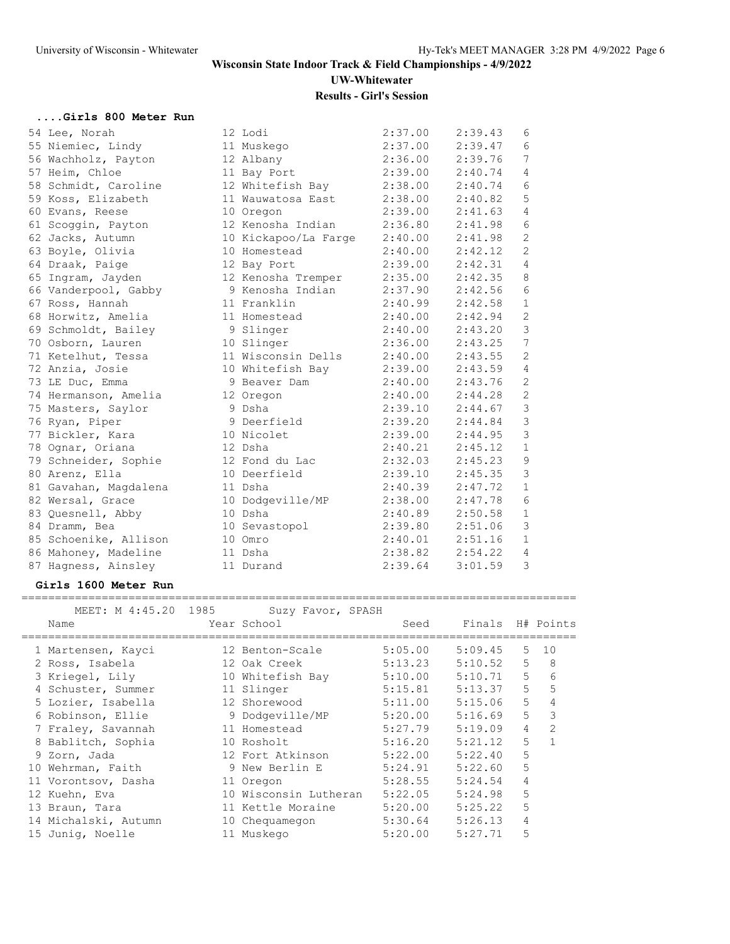#### **....Girls 800 Meter Run**

| 54 Lee, Norah         | 12 Lodi              | 2:37.00 | 2:39.43 | 6              |
|-----------------------|----------------------|---------|---------|----------------|
| 55 Niemiec, Lindy     | 11 Muskego           | 2:37.00 | 2:39.47 | 6              |
| 56 Wachholz, Payton   | 12 Albany            | 2:36.00 | 2:39.76 | 7              |
| 57 Heim, Chloe        | 11 Bay Port          | 2:39.00 | 2:40.74 | $\overline{4}$ |
| 58 Schmidt, Caroline  | 12 Whitefish Bay     | 2:38.00 | 2:40.74 | 6              |
| 59 Koss, Elizabeth    | 11 Wauwatosa East    | 2:38.00 | 2:40.82 | 5              |
| 60 Evans, Reese       | 10 Oregon            | 2:39.00 | 2:41.63 | 4              |
| 61 Scoggin, Payton    | 12 Kenosha Indian    | 2:36.80 | 2:41.98 | 6              |
| 62 Jacks, Autumn      | 10 Kickapoo/La Farge | 2:40.00 | 2:41.98 | $\overline{2}$ |
| 63 Boyle, Olivia      | 10 Homestead         | 2:40.00 | 2:42.12 | 2              |
| 64 Draak, Paige       | 12 Bay Port          | 2:39.00 | 2:42.31 | $\overline{4}$ |
| 65 Ingram, Jayden     | 12 Kenosha Tremper   | 2:35.00 | 2:42.35 | 8              |
| 66 Vanderpool, Gabby  | 9 Kenosha Indian     | 2:37.90 | 2:42.56 | 6              |
| 67 Ross, Hannah       | 11 Franklin          | 2:40.99 | 2:42.58 | $\mathbf{1}$   |
| 68 Horwitz, Amelia    | 11 Homestead         | 2:40.00 | 2:42.94 | 2              |
| 69 Schmoldt, Bailey   | 9 Slinger            | 2:40.00 | 2:43.20 | 3              |
| 70 Osborn, Lauren     | 10 Slinger           | 2:36.00 | 2:43.25 | 7              |
| 71 Ketelhut, Tessa    | 11 Wisconsin Dells   | 2:40.00 | 2:43.55 | $\overline{2}$ |
| 72 Anzia, Josie       | 10 Whitefish Bay     | 2:39.00 | 2:43.59 | $\overline{4}$ |
| 73 LE Duc, Emma       | 9 Beaver Dam         | 2:40.00 | 2:43.76 | $\overline{2}$ |
| 74 Hermanson, Amelia  | 12 Oregon            | 2:40.00 | 2:44.28 | $\overline{c}$ |
| 75 Masters, Saylor    | 9 Dsha               | 2:39.10 | 2:44.67 | $\mathfrak{Z}$ |
| 76 Ryan, Piper        | 9 Deerfield          | 2:39.20 | 2:44.84 | 3              |
| 77 Bickler, Kara      | 10 Nicolet           | 2:39.00 | 2:44.95 | 3              |
| 78 Ognar, Oriana      | 12 Dsha              | 2:40.21 | 2:45.12 | $\mathbf{1}$   |
| 79 Schneider, Sophie  | 12 Fond du Lac       | 2:32.03 | 2:45.23 | 9              |
| 80 Arenz, Ella        | 10 Deerfield         | 2:39.10 | 2:45.35 | 3              |
| 81 Gavahan, Magdalena | 11 Dsha              | 2:40.39 | 2:47.72 | $\mathbf{1}$   |
| 82 Wersal, Grace      | 10 Dodgeville/MP     | 2:38.00 | 2:47.78 | 6              |
| 83 Quesnell, Abby     | 10 Dsha              | 2:40.89 | 2:50.58 | $\mathbf{1}$   |
| 84 Dramm, Bea         | 10 Sevastopol        | 2:39.80 | 2:51.06 | 3              |
| 85 Schoenike, Allison | 10 Omro              | 2:40.01 | 2:51.16 | $\mathbf{1}$   |
| 86 Mahoney, Madeline  | 11 Dsha              | 2:38.82 | 2:54.22 | $\overline{4}$ |
| 87 Hagness, Ainsley   | 11 Durand            | 2:39.64 | 3:01.59 | 3              |

#### **Girls 1600 Meter Run**

=================================================================================== MEET: M 4:45.20 1985 Suzy Favor, SPASH Name **Year School** Seed Finals H# Points =================================================================================== 1 Martensen, Kayci 12 Benton-Scale 5:05.00 5:09.45 5 10 2 Ross, Isabela 12 Oak Creek 5:13.23 5:10.52 5 8 3 Kriegel, Lily 10 Whitefish Bay 5:10.00 5:10.71 5 6 4 Schuster, Summer 11 Slinger 5:15.81 5:13.37 5 5 5 Lozier, Isabella 12 Shorewood 5:11.00 5:15.06 5 4 6 Robinson, Ellie 9 Dodgeville/MP 5:20.00 5:16.69 5 3 7 Fraley, Savannah 11 Homestead 5:27.79 5:19.09 4 2 8 Bablitch, Sophia 10 Rosholt 5:16.20 5:21.12 5 1 9 Zorn, Jada 12 Fort Atkinson 5:22.00 5:22.40 5 10 Wehrman, Faith 9 New Berlin E 5:24.91 5:22.60 5 11 Vorontsov, Dasha 11 Oregon 5:28.55 5:24.54 4 12 Kuehn, Eva 10 Wisconsin Lutheran 5:22.05 5:24.98 5 13 Braun, Tara 11 Kettle Moraine 5:20.00 5:25.22 5 14 Michalski, Autumn 10 Chequamegon 5:30.64 5:26.13 4 15 Junig, Noelle 11 Muskego 5:20.00 5:27.71 5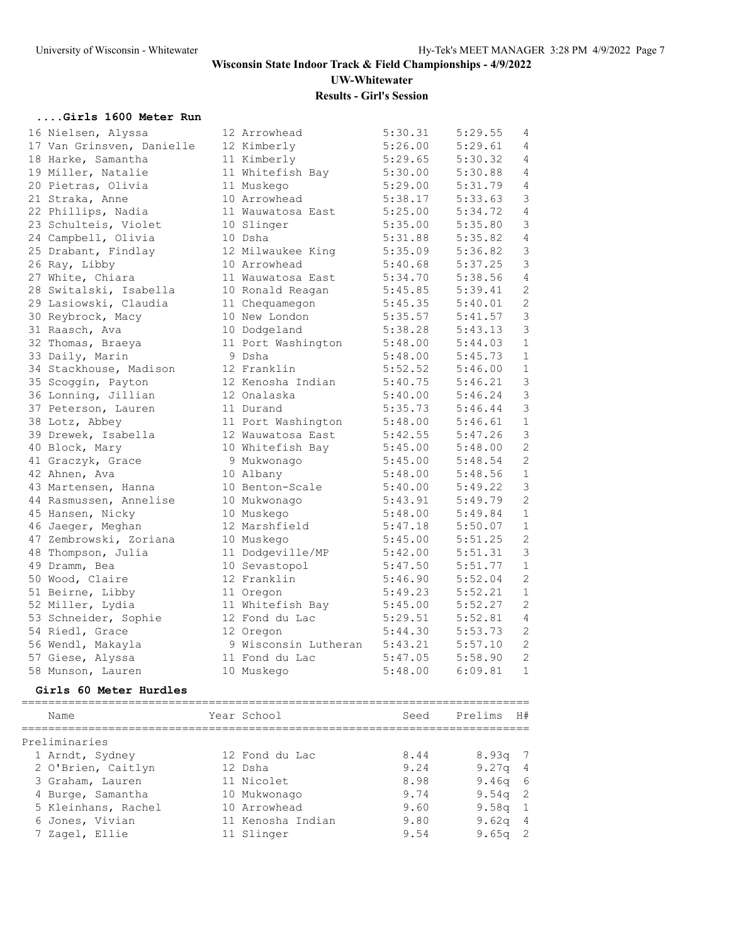| Girls 1600 Meter Run |                                                                                                                                                                                                                                                                                                                                                                                                                                                                                                                                                                                                                                                                                                                                                                                      |                                                                                                                                                                                                                                                                  |                                                                                                                                                                                                                                                                                                                                                                                                                                                                                                                                                                          |
|----------------------|--------------------------------------------------------------------------------------------------------------------------------------------------------------------------------------------------------------------------------------------------------------------------------------------------------------------------------------------------------------------------------------------------------------------------------------------------------------------------------------------------------------------------------------------------------------------------------------------------------------------------------------------------------------------------------------------------------------------------------------------------------------------------------------|------------------------------------------------------------------------------------------------------------------------------------------------------------------------------------------------------------------------------------------------------------------|--------------------------------------------------------------------------------------------------------------------------------------------------------------------------------------------------------------------------------------------------------------------------------------------------------------------------------------------------------------------------------------------------------------------------------------------------------------------------------------------------------------------------------------------------------------------------|
|                      | 5:30.31                                                                                                                                                                                                                                                                                                                                                                                                                                                                                                                                                                                                                                                                                                                                                                              | 5:29.55                                                                                                                                                                                                                                                          | 4                                                                                                                                                                                                                                                                                                                                                                                                                                                                                                                                                                        |
|                      | 5:26.00                                                                                                                                                                                                                                                                                                                                                                                                                                                                                                                                                                                                                                                                                                                                                                              | 5:29.61                                                                                                                                                                                                                                                          | 4                                                                                                                                                                                                                                                                                                                                                                                                                                                                                                                                                                        |
|                      |                                                                                                                                                                                                                                                                                                                                                                                                                                                                                                                                                                                                                                                                                                                                                                                      |                                                                                                                                                                                                                                                                  | 4                                                                                                                                                                                                                                                                                                                                                                                                                                                                                                                                                                        |
|                      | 5:30.00                                                                                                                                                                                                                                                                                                                                                                                                                                                                                                                                                                                                                                                                                                                                                                              | 5:30.88                                                                                                                                                                                                                                                          | 4                                                                                                                                                                                                                                                                                                                                                                                                                                                                                                                                                                        |
|                      | 5:29.00                                                                                                                                                                                                                                                                                                                                                                                                                                                                                                                                                                                                                                                                                                                                                                              | 5:31.79                                                                                                                                                                                                                                                          | 4                                                                                                                                                                                                                                                                                                                                                                                                                                                                                                                                                                        |
|                      |                                                                                                                                                                                                                                                                                                                                                                                                                                                                                                                                                                                                                                                                                                                                                                                      | 5:33.63                                                                                                                                                                                                                                                          | 3                                                                                                                                                                                                                                                                                                                                                                                                                                                                                                                                                                        |
|                      | 5:25.00                                                                                                                                                                                                                                                                                                                                                                                                                                                                                                                                                                                                                                                                                                                                                                              | 5:34.72                                                                                                                                                                                                                                                          | 4                                                                                                                                                                                                                                                                                                                                                                                                                                                                                                                                                                        |
|                      |                                                                                                                                                                                                                                                                                                                                                                                                                                                                                                                                                                                                                                                                                                                                                                                      | 5:35.80                                                                                                                                                                                                                                                          | 3                                                                                                                                                                                                                                                                                                                                                                                                                                                                                                                                                                        |
|                      | 5:31.88                                                                                                                                                                                                                                                                                                                                                                                                                                                                                                                                                                                                                                                                                                                                                                              |                                                                                                                                                                                                                                                                  | 4                                                                                                                                                                                                                                                                                                                                                                                                                                                                                                                                                                        |
|                      |                                                                                                                                                                                                                                                                                                                                                                                                                                                                                                                                                                                                                                                                                                                                                                                      |                                                                                                                                                                                                                                                                  | 3                                                                                                                                                                                                                                                                                                                                                                                                                                                                                                                                                                        |
|                      |                                                                                                                                                                                                                                                                                                                                                                                                                                                                                                                                                                                                                                                                                                                                                                                      |                                                                                                                                                                                                                                                                  | 3                                                                                                                                                                                                                                                                                                                                                                                                                                                                                                                                                                        |
|                      |                                                                                                                                                                                                                                                                                                                                                                                                                                                                                                                                                                                                                                                                                                                                                                                      |                                                                                                                                                                                                                                                                  | 4                                                                                                                                                                                                                                                                                                                                                                                                                                                                                                                                                                        |
|                      |                                                                                                                                                                                                                                                                                                                                                                                                                                                                                                                                                                                                                                                                                                                                                                                      |                                                                                                                                                                                                                                                                  | $\overline{2}$                                                                                                                                                                                                                                                                                                                                                                                                                                                                                                                                                           |
|                      |                                                                                                                                                                                                                                                                                                                                                                                                                                                                                                                                                                                                                                                                                                                                                                                      |                                                                                                                                                                                                                                                                  | $\overline{c}$                                                                                                                                                                                                                                                                                                                                                                                                                                                                                                                                                           |
|                      |                                                                                                                                                                                                                                                                                                                                                                                                                                                                                                                                                                                                                                                                                                                                                                                      |                                                                                                                                                                                                                                                                  | 3                                                                                                                                                                                                                                                                                                                                                                                                                                                                                                                                                                        |
|                      |                                                                                                                                                                                                                                                                                                                                                                                                                                                                                                                                                                                                                                                                                                                                                                                      |                                                                                                                                                                                                                                                                  | 3                                                                                                                                                                                                                                                                                                                                                                                                                                                                                                                                                                        |
|                      |                                                                                                                                                                                                                                                                                                                                                                                                                                                                                                                                                                                                                                                                                                                                                                                      |                                                                                                                                                                                                                                                                  | $\mathbf{1}$                                                                                                                                                                                                                                                                                                                                                                                                                                                                                                                                                             |
|                      |                                                                                                                                                                                                                                                                                                                                                                                                                                                                                                                                                                                                                                                                                                                                                                                      |                                                                                                                                                                                                                                                                  | $\mathbf{1}$                                                                                                                                                                                                                                                                                                                                                                                                                                                                                                                                                             |
|                      |                                                                                                                                                                                                                                                                                                                                                                                                                                                                                                                                                                                                                                                                                                                                                                                      |                                                                                                                                                                                                                                                                  | $\mathbf{1}$                                                                                                                                                                                                                                                                                                                                                                                                                                                                                                                                                             |
|                      |                                                                                                                                                                                                                                                                                                                                                                                                                                                                                                                                                                                                                                                                                                                                                                                      |                                                                                                                                                                                                                                                                  | 3                                                                                                                                                                                                                                                                                                                                                                                                                                                                                                                                                                        |
|                      |                                                                                                                                                                                                                                                                                                                                                                                                                                                                                                                                                                                                                                                                                                                                                                                      |                                                                                                                                                                                                                                                                  | 3                                                                                                                                                                                                                                                                                                                                                                                                                                                                                                                                                                        |
|                      |                                                                                                                                                                                                                                                                                                                                                                                                                                                                                                                                                                                                                                                                                                                                                                                      |                                                                                                                                                                                                                                                                  | 3                                                                                                                                                                                                                                                                                                                                                                                                                                                                                                                                                                        |
|                      |                                                                                                                                                                                                                                                                                                                                                                                                                                                                                                                                                                                                                                                                                                                                                                                      |                                                                                                                                                                                                                                                                  | $\mathbf{1}$                                                                                                                                                                                                                                                                                                                                                                                                                                                                                                                                                             |
|                      |                                                                                                                                                                                                                                                                                                                                                                                                                                                                                                                                                                                                                                                                                                                                                                                      |                                                                                                                                                                                                                                                                  | 3                                                                                                                                                                                                                                                                                                                                                                                                                                                                                                                                                                        |
|                      |                                                                                                                                                                                                                                                                                                                                                                                                                                                                                                                                                                                                                                                                                                                                                                                      |                                                                                                                                                                                                                                                                  | $\overline{2}$                                                                                                                                                                                                                                                                                                                                                                                                                                                                                                                                                           |
|                      |                                                                                                                                                                                                                                                                                                                                                                                                                                                                                                                                                                                                                                                                                                                                                                                      |                                                                                                                                                                                                                                                                  | $\overline{c}$                                                                                                                                                                                                                                                                                                                                                                                                                                                                                                                                                           |
|                      |                                                                                                                                                                                                                                                                                                                                                                                                                                                                                                                                                                                                                                                                                                                                                                                      |                                                                                                                                                                                                                                                                  | $\mathbf{1}$                                                                                                                                                                                                                                                                                                                                                                                                                                                                                                                                                             |
|                      |                                                                                                                                                                                                                                                                                                                                                                                                                                                                                                                                                                                                                                                                                                                                                                                      |                                                                                                                                                                                                                                                                  | 3                                                                                                                                                                                                                                                                                                                                                                                                                                                                                                                                                                        |
|                      |                                                                                                                                                                                                                                                                                                                                                                                                                                                                                                                                                                                                                                                                                                                                                                                      |                                                                                                                                                                                                                                                                  |                                                                                                                                                                                                                                                                                                                                                                                                                                                                                                                                                                          |
|                      |                                                                                                                                                                                                                                                                                                                                                                                                                                                                                                                                                                                                                                                                                                                                                                                      |                                                                                                                                                                                                                                                                  | $\overline{c}$                                                                                                                                                                                                                                                                                                                                                                                                                                                                                                                                                           |
|                      |                                                                                                                                                                                                                                                                                                                                                                                                                                                                                                                                                                                                                                                                                                                                                                                      |                                                                                                                                                                                                                                                                  | $\mathbf{1}$                                                                                                                                                                                                                                                                                                                                                                                                                                                                                                                                                             |
|                      |                                                                                                                                                                                                                                                                                                                                                                                                                                                                                                                                                                                                                                                                                                                                                                                      |                                                                                                                                                                                                                                                                  | $\mathbf{1}$                                                                                                                                                                                                                                                                                                                                                                                                                                                                                                                                                             |
|                      |                                                                                                                                                                                                                                                                                                                                                                                                                                                                                                                                                                                                                                                                                                                                                                                      |                                                                                                                                                                                                                                                                  | $\overline{c}$                                                                                                                                                                                                                                                                                                                                                                                                                                                                                                                                                           |
|                      |                                                                                                                                                                                                                                                                                                                                                                                                                                                                                                                                                                                                                                                                                                                                                                                      |                                                                                                                                                                                                                                                                  | 3                                                                                                                                                                                                                                                                                                                                                                                                                                                                                                                                                                        |
|                      |                                                                                                                                                                                                                                                                                                                                                                                                                                                                                                                                                                                                                                                                                                                                                                                      |                                                                                                                                                                                                                                                                  | $\mathbf{1}$                                                                                                                                                                                                                                                                                                                                                                                                                                                                                                                                                             |
|                      |                                                                                                                                                                                                                                                                                                                                                                                                                                                                                                                                                                                                                                                                                                                                                                                      |                                                                                                                                                                                                                                                                  | $\overline{2}$                                                                                                                                                                                                                                                                                                                                                                                                                                                                                                                                                           |
|                      |                                                                                                                                                                                                                                                                                                                                                                                                                                                                                                                                                                                                                                                                                                                                                                                      |                                                                                                                                                                                                                                                                  | $\mathbf{1}$                                                                                                                                                                                                                                                                                                                                                                                                                                                                                                                                                             |
|                      |                                                                                                                                                                                                                                                                                                                                                                                                                                                                                                                                                                                                                                                                                                                                                                                      |                                                                                                                                                                                                                                                                  | $\overline{2}$                                                                                                                                                                                                                                                                                                                                                                                                                                                                                                                                                           |
|                      |                                                                                                                                                                                                                                                                                                                                                                                                                                                                                                                                                                                                                                                                                                                                                                                      |                                                                                                                                                                                                                                                                  | 4                                                                                                                                                                                                                                                                                                                                                                                                                                                                                                                                                                        |
|                      |                                                                                                                                                                                                                                                                                                                                                                                                                                                                                                                                                                                                                                                                                                                                                                                      |                                                                                                                                                                                                                                                                  | $\overline{c}$                                                                                                                                                                                                                                                                                                                                                                                                                                                                                                                                                           |
|                      |                                                                                                                                                                                                                                                                                                                                                                                                                                                                                                                                                                                                                                                                                                                                                                                      |                                                                                                                                                                                                                                                                  |                                                                                                                                                                                                                                                                                                                                                                                                                                                                                                                                                                          |
|                      |                                                                                                                                                                                                                                                                                                                                                                                                                                                                                                                                                                                                                                                                                                                                                                                      | 5:58.90                                                                                                                                                                                                                                                          | $\overline{c}$                                                                                                                                                                                                                                                                                                                                                                                                                                                                                                                                                           |
|                      |                                                                                                                                                                                                                                                                                                                                                                                                                                                                                                                                                                                                                                                                                                                                                                                      | 6:09.81                                                                                                                                                                                                                                                          | 1                                                                                                                                                                                                                                                                                                                                                                                                                                                                                                                                                                        |
|                      |                                                                                                                                                                                                                                                                                                                                                                                                                                                                                                                                                                                                                                                                                                                                                                                      |                                                                                                                                                                                                                                                                  |                                                                                                                                                                                                                                                                                                                                                                                                                                                                                                                                                                          |
|                      | Seed                                                                                                                                                                                                                                                                                                                                                                                                                                                                                                                                                                                                                                                                                                                                                                                 | Prelims H#                                                                                                                                                                                                                                                       |                                                                                                                                                                                                                                                                                                                                                                                                                                                                                                                                                                          |
|                      |                                                                                                                                                                                                                                                                                                                                                                                                                                                                                                                                                                                                                                                                                                                                                                                      |                                                                                                                                                                                                                                                                  |                                                                                                                                                                                                                                                                                                                                                                                                                                                                                                                                                                          |
|                      | 8.44                                                                                                                                                                                                                                                                                                                                                                                                                                                                                                                                                                                                                                                                                                                                                                                 |                                                                                                                                                                                                                                                                  |                                                                                                                                                                                                                                                                                                                                                                                                                                                                                                                                                                          |
|                      | 9.24                                                                                                                                                                                                                                                                                                                                                                                                                                                                                                                                                                                                                                                                                                                                                                                 | 9.27q $4$                                                                                                                                                                                                                                                        |                                                                                                                                                                                                                                                                                                                                                                                                                                                                                                                                                                          |
|                      | 8.98                                                                                                                                                                                                                                                                                                                                                                                                                                                                                                                                                                                                                                                                                                                                                                                 | 9.46q                                                                                                                                                                                                                                                            | 6                                                                                                                                                                                                                                                                                                                                                                                                                                                                                                                                                                        |
|                      |                                                                                                                                                                                                                                                                                                                                                                                                                                                                                                                                                                                                                                                                                                                                                                                      |                                                                                                                                                                                                                                                                  |                                                                                                                                                                                                                                                                                                                                                                                                                                                                                                                                                                          |
|                      | 12 Arrowhead<br>12 Kimberly<br>11 Kimberly<br>11 Whitefish Bay<br>11 Muskego<br>10 Arrowhead<br>11 Wauwatosa East<br>10 Slinger<br>10 Dsha<br>12 Milwaukee King<br>10 Arrowhead<br>11 Wauwatosa East<br>10 Ronald Reagan<br>11 Chequamegon<br>10 New London<br>10 Dodgeland<br>11 Port Washington<br>9 Dsha<br>12 Franklin<br>12 Kenosha Indian<br>12 Onalaska<br>11 Durand<br>11 Port Washington<br>12 Wauwatosa East<br>10 Whitefish Bay<br>9 Mukwonago<br>10 Albany<br>10 Benton-Scale<br>10 Mukwonago<br>10 Muskego<br>12 Marshfield<br>10 Muskego<br>11 Dodgeville/MP<br>10 Sevastopol<br>12 Franklin<br>11 Oregon<br>11 Whitefish Bay<br>12 Fond du Lac<br>12 Oregon<br>11 Fond du Lac<br>10 Muskego<br>Year School<br>12 Fond du Lac<br>12 Dsha<br>11 Nicolet<br>10 Mukwonago | 5:29.65<br>5:35.00<br>5:35.09<br>5:40.68<br>5:45.85<br>5:45.35<br>5:35.57<br>5:38.28<br>5:40.75<br>5:40.00<br>5:45.00<br>5:45.00<br>5:48.00<br>5:40.00<br>5:43.91<br>5:47.18<br>5:45.00<br>5:42.00<br>5:29.51<br>5:44.30<br>9 Wisconsin Lutheran 5:43.21<br>9.74 | 5:30.32<br>5:38.17<br>5:35.82<br>5:36.82<br>5:37.25<br>5:34.70<br>5:38.56<br>5:39.41<br>5:40.01<br>5:41.57<br>5:43.13<br>5:48.00<br>5:44.03<br>5:48.00<br>5:45.73<br>5:52.52<br>5:46.00<br>5:46.21<br>5:46.24<br>5:35.73<br>5:46.44<br>5:48.00<br>5:46.61<br>5:42.55<br>5:47.26<br>5:48.00<br>5:48.54<br>5:48.56<br>5:49.22<br>5:49.79<br>5:48.00<br>5:49.84<br>5:50.07<br>5:51.25<br>5:51.31<br>5:47.50<br>5:51.77<br>5:46.90<br>5:52.04<br>5:49.23<br>5:52.21<br>5:45.00<br>5:52.27<br>5:52.81<br>5:53.73<br>$5:57.10$ 2<br>5:47.05<br>5:48.00<br>8.93q 7<br>$9.54q$ 2 |

 5 Kleinhans, Rachel 10 Arrowhead 9.60 9.58q 1 6 Jones, Vivian 11 Kenosha Indian 9.80 9.62q 4 7 Zagel, Ellie 11 Slinger 9.54 9.65q 2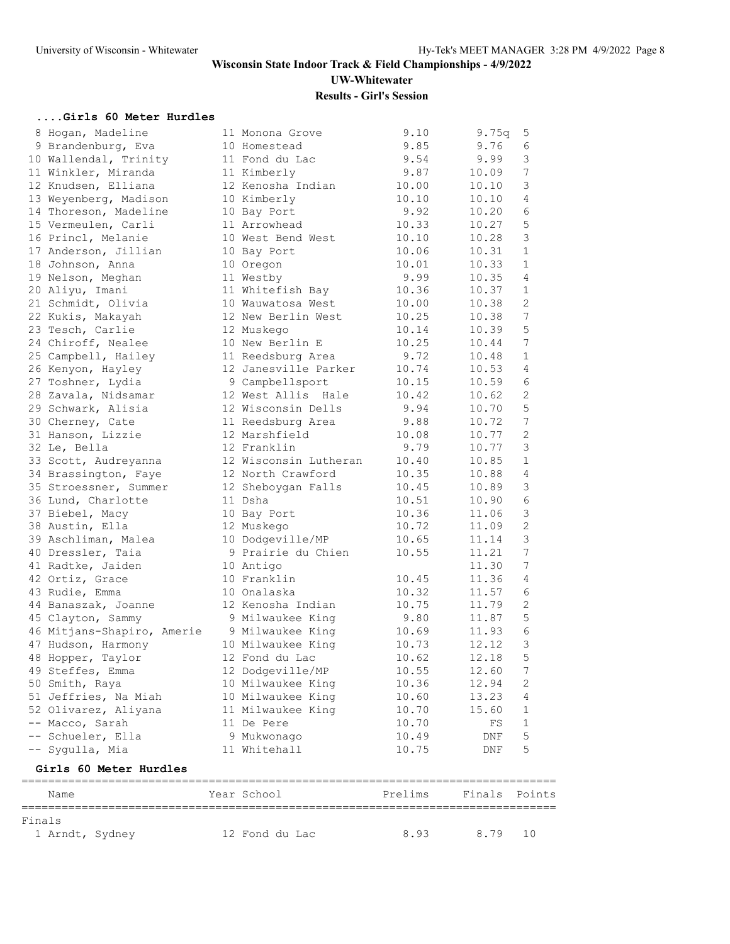### **Wisconsin State Indoor Track & Field Championships - 4/9/2022 UW-Whitewater**

#### **Results - Girl's Session**

# **....Girls 60 Meter Hurdles**

| 8 Hogan, Madeline          | 11 Monona Grove       | 9.10    | 9.75q  | 5               |
|----------------------------|-----------------------|---------|--------|-----------------|
| 9 Brandenburg, Eva         | 10 Homestead          | 9.85    | 9.76   | 6               |
| 10 Wallendal, Trinity      | 11 Fond du Lac        | 9.54    | 9.99   | 3               |
| 11 Winkler, Miranda        | 11 Kimberly           | 9.87    | 10.09  | $7\phantom{.0}$ |
| 12 Knudsen, Elliana        | 12 Kenosha Indian     | 10.00   | 10.10  | $\mathcal{S}$   |
| 13 Weyenberg, Madison      | 10 Kimberly           | 10.10   | 10.10  | 4               |
| 14 Thoreson, Madeline      | 10 Bay Port           | 9.92    | 10.20  | 6               |
| 15 Vermeulen, Carli        | 11 Arrowhead          | 10.33   | 10.27  | 5               |
| 16 Princl, Melanie         | 10 West Bend West     | 10.10   | 10.28  | 3               |
| 17 Anderson, Jillian       | 10 Bay Port           | 10.06   | 10.31  | $\mathbf{1}$    |
| 18 Johnson, Anna           | 10 Oregon             | 10.01   | 10.33  | $\mathbf{1}$    |
| 19 Nelson, Meghan          | 11 Westby             | 9.99    | 10.35  | $\overline{4}$  |
| 20 Aliyu, Imani            | 11 Whitefish Bay      | 10.36   | 10.37  | $\mathbf{1}$    |
| 21 Schmidt, Olivia         | 10 Wauwatosa West     | 10.00   | 10.38  | 2               |
| 22 Kukis, Makayah          | 12 New Berlin West    | 10.25   | 10.38  | 7               |
| 23 Tesch, Carlie           | 12 Muskego            | 10.14   | 10.39  | 5               |
| 24 Chiroff, Nealee         | 10 New Berlin E       | 10.25   | 10.44  | $\overline{7}$  |
| 25 Campbell, Hailey        | 11 Reedsburg Area     | 9.72    | 10.48  | $\mathbf{1}$    |
| 26 Kenyon, Hayley          | 12 Janesville Parker  | 10.74   | 10.53  | 4               |
| 27 Toshner, Lydia          | 9 Campbellsport       | 10.15   | 10.59  | 6               |
| 28 Zavala, Nidsamar        | 12 West Allis Hale    | 10.42   | 10.62  | 2               |
| 29 Schwark, Alisia         | 12 Wisconsin Dells    | 9.94    | 10.70  | 5               |
| 30 Cherney, Cate           | 11 Reedsburg Area     | 9.88    | 10.72  | $\overline{7}$  |
| 31 Hanson, Lizzie          | 12 Marshfield         | 10.08   | 10.77  | $\mathbf{2}$    |
| 32 Le, Bella               | 12 Franklin           | 9.79    | 10.77  | $\mathcal{S}$   |
| 33 Scott, Audreyanna       | 12 Wisconsin Lutheran | 10.40   | 10.85  | $\mathbf{1}$    |
| 34 Brassington, Faye       | 12 North Crawford     | 10.35   | 10.88  | 4               |
| 35 Stroessner, Summer      | 12 Sheboygan Falls    | 10.45   | 10.89  | $\mathcal{S}$   |
| 36 Lund, Charlotte         | 11 Dsha               | 10.51   | 10.90  | $\sqrt{6}$      |
| 37 Biebel, Macy            | 10 Bay Port           | 10.36   | 11.06  | $\mathfrak{Z}$  |
| 38 Austin, Ella            | 12 Muskego            | 10.72   | 11.09  | 2               |
| 39 Aschliman, Malea        | 10 Dodgeville/MP      | 10.65   | 11.14  | $\mathcal{S}$   |
| 40 Dressler, Taia          | 9 Prairie du Chien    | 10.55   | 11.21  | $7\phantom{.0}$ |
| 41 Radtke, Jaiden          | 10 Antigo             |         | 11.30  | $7\phantom{.0}$ |
| 42 Ortiz, Grace            | 10 Franklin           | 10.45   | 11.36  | $\sqrt{4}$      |
| 43 Rudie, Emma             | 10 Onalaska           | 10.32   | 11.57  | 6               |
| 44 Banaszak, Joanne        | 12 Kenosha Indian     | 10.75   | 11.79  | 2               |
| 45 Clayton, Sammy          | 9 Milwaukee King      | 9.80    | 11.87  | 5               |
| 46 Mitjans-Shapiro, Amerie | 9 Milwaukee King      | 10.69   | 11.93  | 6               |
| 47 Hudson, Harmony         | 10 Milwaukee King     | 10.73   | 12.12  | $\mathcal{E}$   |
| 48 Hopper, Taylor          | 12 Fond du Lac        | 10.62   | 12.18  | 5               |
| 49 Steffes, Emma           | 12 Dodgeville/MP      | 10.55   | 12.60  | 7               |
| 50 Smith, Raya             | 10 Milwaukee King     | 10.36   | 12.94  | $\mathbf{2}$    |
| 51 Jeffries, Na Miah       | 10 Milwaukee King     | 10.60   | 13.23  | 4               |
| 52 Olivarez, Aliyana       | 11 Milwaukee King     | 10.70   | 15.60  | 1               |
| -- Macco, Sarah            | 11 De Pere            | 10.70   | FS     | 1               |
| -- Schueler, Ella          | 9 Mukwonago           | 10.49   | DNF    | 5               |
| -- Sygulla, Mia            | 11 Whitehall          | 10.75   | DNF    | 5               |
| Girls 60 Meter Hurdles     |                       |         |        |                 |
| Name                       | Year School           | Prelims | Finals | Points          |
|                            |                       |         |        |                 |
| Finals<br>1 Arndt, Sydney  | 12 Fond du Lac        | 8.93    | 8.79   | 10              |
|                            |                       |         |        |                 |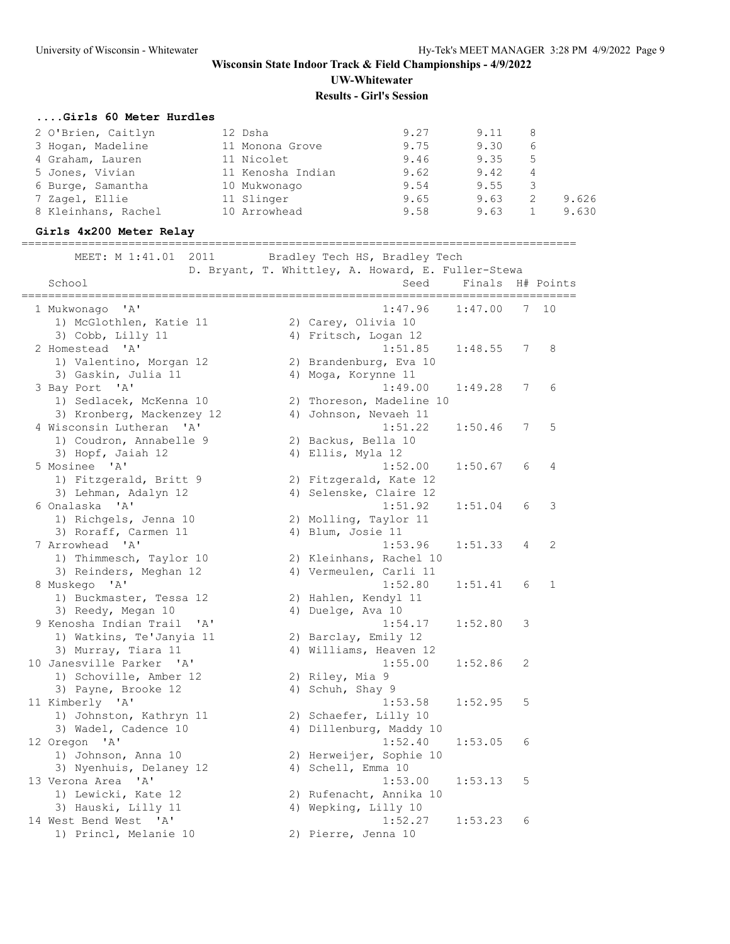# **Wisconsin State Indoor Track & Field Championships - 4/9/2022 UW-Whitewater**

# **Results - Girl's Session**

#### **....Girls 60 Meter Hurdles**

| 2 O'Brien, Caitlyn  | 12 Dsha           | 9.27 | 9.11 |   |       |
|---------------------|-------------------|------|------|---|-------|
| 3 Hogan, Madeline   | 11 Monona Grove   | 9.75 | 9.30 | 6 |       |
| 4 Graham, Lauren    | 11 Nicolet        | 9.46 | 9.35 | 5 |       |
| 5 Jones, Vivian     | 11 Kenosha Indian | 9.62 | 9.42 | 4 |       |
| 6 Burge, Samantha   | 10 Mukwonago      | 9.54 | 9.55 |   |       |
| 7 Zagel, Ellie      | 11 Slinger        | 9.65 | 9.63 | 2 | 9.626 |
| 8 Kleinhans, Rachel | 10 Arrowhead      | 9.58 | 9.63 |   | 9.630 |

===================================================================================

#### **Girls 4x200 Meter Relay**

 MEET: M 1:41.01 2011 Bradley Tech HS, Bradley Tech D. Bryant, T. Whittley, A. Howard, E. Fuller-Stewa School School Seed Finals H# Points =================================================================================== 1 Mukwonago 'A' 1:47.96 1:47.00 7 10 1) McGlothlen, Katie 11 12) Carey, Olivia 10 3) Cobb, Lilly 11 4) Fritsch, Logan 12 2 Homestead 'A' 1:51.85 1:48.55 7 8 1) Valentino, Morgan 12 2) Brandenburg, Eva 10 3) Gaskin, Julia 11 (4) Moga, Korynne 11 3 Bay Port 'A' 1:49.00 1:49.28 7 6 1) Sedlacek, McKenna 10 2) Thoreson, Madeline 10 3) Kronberg, Mackenzey 12 4) Johnson, Nevaeh 11 4 Wisconsin Lutheran 'A' 1:51.22 1:50.46 7 5 1) Coudron, Annabelle 9 2) Backus, Bella 10 3) Hopf, Jaiah 12 4) Ellis, Myla 12 5 Mosinee 'A' 1:52.00 1:50.67 6 4 1) Fitzgerald, Britt 9 2) Fitzgerald, Kate 12 3) Lehman, Adalyn 12 4) Selenske, Claire 12 6 Onalaska 'A' 1:51.92 1:51.04 6 3 1) Richgels, Jenna 10 2) Molling, Taylor 11 3) Roraff, Carmen 11 4) Blum, Josie 11 7 Arrowhead 'A' 1:53.96 1:51.33 4 2 1) Thimmesch, Taylor 10 2) Kleinhans, Rachel 10<br>3) Reinders, Meghan 12 4) Vermeulen, Carli 11<br>Muskeqo 'A' 1:52.80 1:51.41 3) Reinders, Meghan 12 4) Vermeulen, Carli 11 8 Muskego 'A' 1:52.80 1:51.41 6 1 1) Buckmaster, Tessa 12 2) Hahlen, Kendyl 11 3) Reedy, Megan 10 4) Duelge, Ava 10 9 Kenosha Indian Trail 'A' 1:54.17 1:52.80 3 1) Watkins, Te'Janyia 11  $\hskip10mm 2)$  Barclay, Emily 12 3) Murray, Tiara 11 4) Williams, Heaven 12 10 Janesville Parker 'A' 1:55.00 1:52.86 2 1) Schoville, Amber 12 2) Riley, Mia 9 3) Payne, Brooke 12 (4) Schuh, Shay 9 11 Kimberly 'A' 1:53.58 1:52.95 5 1) Johnston, Kathryn 11 2) Schaefer, Lilly 10 3) Wadel, Cadence 10 4) Dillenburg, Maddy 10 12 Oregon 'A' 1:52.40 1:53.05 6 1) Johnson, Anna 10 2) Herweijer, Sophie 10 3) Nyenhuis, Delaney 12 (4) Schell, Emma 10 13 Verona Area 'A' 1:53.00 1:53.13 5 1) Lewicki, Kate 12 2) Rufenacht, Annika 10 3) Hauski, Lilly 11 (4) Wepking, Lilly 10 14 West Bend West 'A' 1:52.27 1:53.23 6 1) Princl, Melanie 10 and 2) Pierre, Jenna 10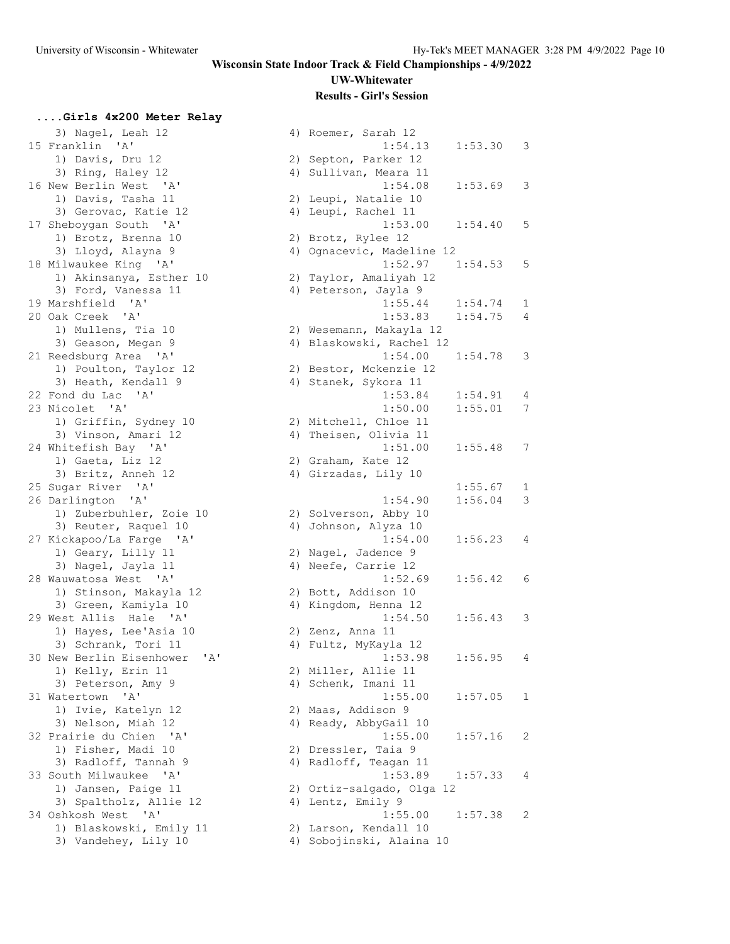**....Girls 4x200 Meter Relay**

# **Wisconsin State Indoor Track & Field Championships - 4/9/2022 UW-Whitewater**

#### **Results - Girl's Session**

#### 3) Nagel, Leah 12  $\begin{array}{ccc} 4) & \text{Roemer, Sarah 12} \\ 1.54 & 13 \end{array}$  15 Franklin 'A' 1:54.13 1:53.30 3 1) Davis, Dru 12 3) Ring, Haley 12 16 New Berlin West 'A' 1) Davis, Tasha 11 3) Gerovac, Katie 12 17 Sheboygan South 'A' 1) Brotz, Brenna 10 3) Lloyd, Alayna 9 18 Milwaukee King 'A' 1) Akinsanya, Esther 10 3) Ford, Vanessa 11 19 Marshfield 'A' 20 Oak Creek 'A' 1) Mullens, Tia 10 3) Geason, Megan 9 21 Reedsburg Area 'A' 1) Poulton, Taylor 12 3) Heath, Kendall 9 22 Fond du Lac 'A' 23 Nicolet 'A' 1) Griffin, Sydney 10 3) Vinson, Amari 12 24 Whitefish Bay 'A' 1) Gaeta, Liz 12 3) Britz, Anneh 12 25 Sugar River 'A' 26 Darlington 'A' 1) Zuberbuhler, Zoie 10 3) Reuter, Raquel 10 27 Kickapoo/La Farge 'A' 1) Geary, Lilly 11 3) Nagel, Jayla 11 28 Wauwatosa West 'A' 1) Stinson, Makayla 12 3) Green, Kamiyla 10 29 West Allis Hale 'A' 1) Hayes, Lee'Asia 10 3) Schrank, Tori 11 30 New Berlin Eisenhower 'A' 1) Kelly, Erin 11 3) Peterson, Amy 9 31 Watertown 'A' 1) Ivie, Katelyn 12 3) Nelson, Miah 12 32 Prairie du Chien 'A' 1) Fisher, Madi 10 3) Radloff, Tannah 9 33 South Milwaukee 'A' 1) Jansen, Paige 11 3) Spaltholz, Allie 12 34 Oshkosh West 'A' 1) Blaskowski, Emily 11

3) Vandehey, Lily 10

|    | T: 74 'T2                                | 1:00.50 | ⊃ |
|----|------------------------------------------|---------|---|
| 2) | Septon, Parker 12                        |         |   |
| 4) | Sullivan, Meara 11                       |         |   |
|    | 1:54.08                                  | 1:53.69 | 3 |
| 2) | Leupi, Natalie 10                        |         |   |
| 4) | Leupi, Rachel 11                         |         |   |
|    | 1:53.00                                  | 1:54.40 | 5 |
| 2) | Brotz, Rylee 12                          |         |   |
| 4) | Ognacevic, Madeline 12                   |         |   |
|    | 1:52.97                                  | 1:54.53 | 5 |
| 2) | Taylor, Amaliyah 12                      |         |   |
| 4) | Peterson, Jayla 9                        |         |   |
|    | 1:55.44                                  | 1:54.74 | 1 |
|    | 1:53.83                                  | 1:54.75 | 4 |
| 2) | Wesemann, Makayla 12                     |         |   |
| 4) | Blaskowski, Rachel 12                    |         |   |
|    | 1:54.00                                  | 1:54.78 | 3 |
| 2) | Bestor, Mckenzie 12                      |         |   |
| 4) | Stanek, Sykora 11<br>1:53.84             | 1:54.91 | 4 |
|    | 1:50.00                                  | 1:55.01 | 7 |
| 2) |                                          |         |   |
| 4) | Mitchell, Chloe 11<br>Theisen, Olivia 11 |         |   |
|    | 1:51.00                                  | 1:55.48 | 7 |
| 2) | Graham, Kate 12                          |         |   |
| 4) | Girzadas, Lily 10                        |         |   |
|    |                                          | 1:55.67 | 1 |
|    | 1:54.90                                  | 1:56.04 | 3 |
| 2) | Solverson, Abby 10                       |         |   |
| 4) | Johnson, Alyza 10                        |         |   |
|    | 1:54.00                                  | 1:56.23 | 4 |
| 2) | Nagel, Jadence 9                         |         |   |
| 4) | Neefe, Carrie 12                         |         |   |
|    | 1:52.69                                  | 1:56.42 | 6 |
| 2) | Bott, Addison 10                         |         |   |
| 4) | Kingdom, Henna 12                        |         |   |
|    | 1:54.50                                  | 1:56.43 | 3 |
| 2) | Zenz, Anna 11                            |         |   |
| 4) | Fultz, MyKayla 12                        |         |   |
|    | 1:53.98                                  | 1:56.95 | 4 |
| 2) | Miller, Allie 11                         |         |   |
| 4) | Schenk, Imani 11                         |         |   |
|    | 1:55.00                                  | 1:57.05 | 1 |
| 2) | Maas, Addison 9                          |         |   |
| 4) | Ready, AbbyGail 10                       |         |   |
|    | 1:55.00                                  | 1:57.16 | 2 |
| 2) | Dressler, Taia 9                         |         |   |
| 4) | Radloff, Teagan 11                       |         |   |
|    | 1:53.89                                  | 1:57.33 | 4 |
| 2) | Ortiz-salgado, Olga 12                   |         |   |
| 4) | Lentz, Emily 9                           |         |   |
|    | 1:55.00                                  | 1:57.38 | 2 |
| 2) | Larson, Kendall 10                       |         |   |
| 4) | Sobojinski, Alaina 10                    |         |   |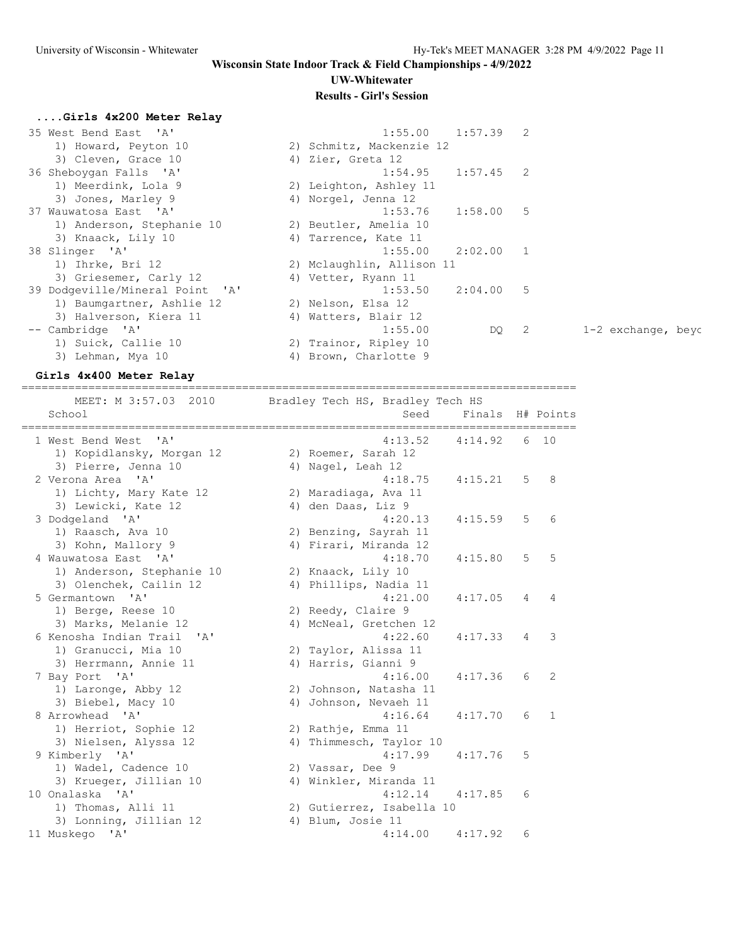# **Wisconsin State Indoor Track & Field Championships - 4/9/2022**

### **UW-Whitewater**

#### **Results - Girl's Session**

# **....Girls 4x200 Meter Relay**

| 35 West Bend East 'A'           | $1:57.39$ 2<br>1:55.00                      |                      |
|---------------------------------|---------------------------------------------|----------------------|
| 1) Howard, Peyton 10            | 2) Schmitz, Mackenzie 12                    |                      |
| 3) Cleven, Grace 10             | 4) Zier, Greta 12                           |                      |
| 36 Sheboygan Falls 'A'          | 1:54.95<br>1:57.45 2                        |                      |
| 1) Meerdink, Lola 9             | 2) Leighton, Ashley 11                      |                      |
| 3) Jones, Marley 9              | 4) Norgel, Jenna 12                         |                      |
| 37 Wauwatosa East 'A'           | 1:58.00<br>-5<br>1:53.76                    |                      |
| 1) Anderson, Stephanie 10       | 2) Beutler, Amelia 10                       |                      |
| 3) Knaack, Lily 10              | 4) Tarrence, Kate 11                        |                      |
| 38 Slinger 'A'                  | 2:02.00<br>$\overline{1}$<br>1:55.00        |                      |
| 1) Ihrke, Bri 12                | 2) Mclaughlin, Allison 11                   |                      |
| 3) Griesemer, Carly 12          | 4) Vetter, Ryann 11                         |                      |
| 39 Dodgeville/Mineral Point 'A' | .5<br>2:04.00<br>1:53.50                    |                      |
| 1) Baumgartner, Ashlie 12       | 2) Nelson, Elsa 12                          |                      |
| 3) Halverson, Kiera 11          | 4) Watters, Blair 12                        |                      |
| -- Cambridge 'A'                | 1:55.00<br>$\overline{\phantom{0}}^2$<br>DQ | $1-2$ exchange, beyc |
| 1) Suick, Callie 10             | 2) Trainor, Ripley 10                       |                      |
| 3) Lehman, Mya 10               | Brown, Charlotte 9<br>4)                    |                      |
|                                 |                                             |                      |

#### **Girls 4x400 Meter Relay**

=================================================================================== MEET: M 3:57.03 2010 Bradley Tech HS, Bradley Tech HS

| School                                           | Seed                                     | Finals H# Points |   |              |
|--------------------------------------------------|------------------------------------------|------------------|---|--------------|
| 1 West Bend West 'A'                             | 4:13.52                                  | 4:14.92          |   | 6 10         |
| 1) Kopidlansky, Morgan 12<br>3) Pierre, Jenna 10 | 2) Roemer, Sarah 12<br>4) Nagel, Leah 12 |                  |   |              |
| 2 Verona Area 'A'                                | 4:18.75                                  | 4:15.21          | 5 | 8            |
| 1) Lichty, Mary Kate 12                          | 2) Maradiaga, Ava 11                     |                  |   |              |
| 3) Lewicki, Kate 12                              | 4) den Daas, Liz 9                       |                  |   |              |
| 3 Dodgeland 'A'                                  | 4:20.13                                  | 4:15.59          | 5 | 6            |
| 1) Raasch, Ava 10                                | 2) Benzing, Sayrah 11                    |                  |   |              |
| 3) Kohn, Mallory 9                               | 4) Firari, Miranda 12                    |                  |   |              |
| 4 Wauwatosa East 'A'                             | 4:18.70                                  | 4:15.80          | 5 | 5            |
| 1) Anderson, Stephanie 10                        | 2) Knaack, Lily 10                       |                  |   |              |
| 3) Olenchek, Cailin 12                           | 4) Phillips, Nadia 11                    |                  |   |              |
| 5 Germantown 'A'                                 | 4:21.00                                  | 4:17.05          | 4 | 4            |
| 1) Berge, Reese 10                               | 2) Reedy, Claire 9                       |                  |   |              |
| 3) Marks, Melanie 12                             | 4) McNeal, Gretchen 12                   |                  |   |              |
| 6 Kenosha Indian Trail 'A'                       | 4:22.60                                  | 4:17.33          | 4 | 3            |
| 1) Granucci, Mia 10                              | 2) Taylor, Alissa 11                     |                  |   |              |
| 3) Herrmann, Annie 11                            | 4) Harris, Gianni 9                      |                  |   |              |
| 7 Bay Port 'A'                                   | 4:16.00                                  | 4:17.36          | 6 | 2            |
| 1) Laronge, Abby 12                              | 2) Johnson, Natasha 11                   |                  |   |              |
| 3) Biebel, Macy 10                               | 4) Johnson, Nevaeh 11                    |                  |   |              |
| 8 Arrowhead 'A'                                  | 4:16.64                                  | 4:17.70          | 6 | $\mathbf{1}$ |
| 1) Herriot, Sophie 12                            | 2) Rathje, Emma 11                       |                  |   |              |
| 3) Nielsen, Alyssa 12                            | 4) Thimmesch, Taylor 10                  |                  |   |              |
| 9 Kimberly 'A'                                   | 4:17.99                                  | 4:17.76          | 5 |              |
| 1) Wadel, Cadence 10                             | 2) Vassar, Dee 9                         |                  |   |              |
| 3) Krueger, Jillian 10                           | 4) Winkler, Miranda 11                   |                  |   |              |
| 10 Onalaska 'A'                                  | 4:12.14                                  | 4:17.85          | 6 |              |
| 1) Thomas, Alli 11                               | 2) Gutierrez, Isabella 10                |                  |   |              |
| 3) Lonning, Jillian 12                           | 4) Blum, Josie 11                        |                  |   |              |
| 11 Muskego 'A'                                   | 4:14.00                                  | 4:17.92          | 6 |              |
|                                                  |                                          |                  |   |              |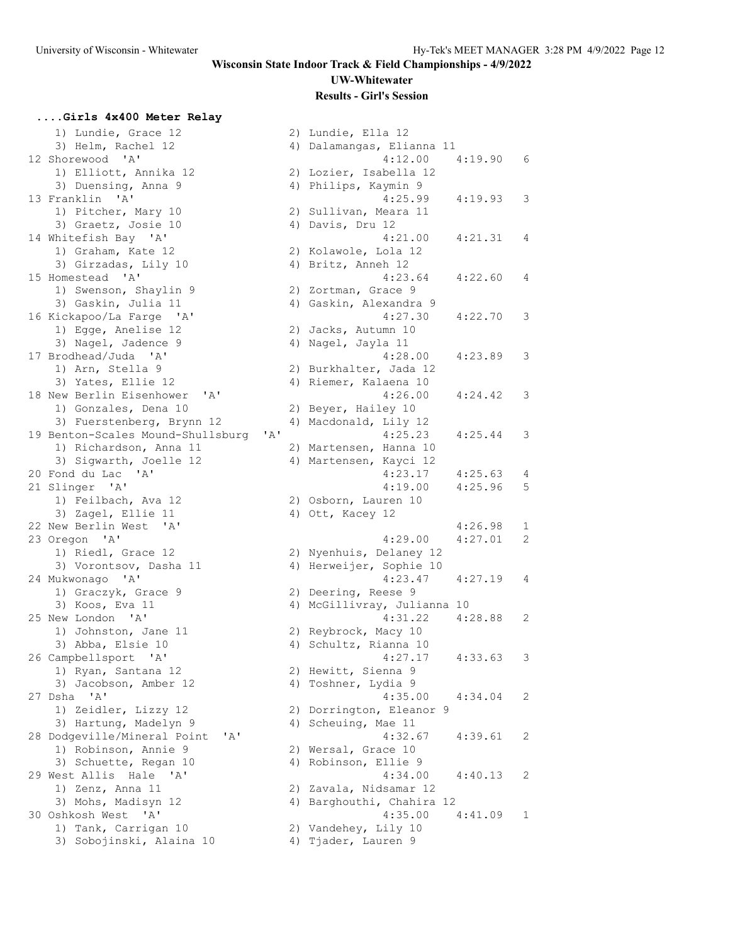**....Girls 4x400 Meter Relay**

# **Wisconsin State Indoor Track & Field Championships - 4/9/2022 UW-Whitewater**

#### **Results - Girl's Session**

#### 1) Lundie, Grace 12 2) Lundie, Ella 12 3) Helm, Rachel 12 12 Shorewood 'A' 1) Elliott, Annika 12 3) Duensing, Anna 9 13 Franklin 'A' 1) Pitcher, Mary 10 3) Graetz, Josie 10 14 Whitefish Bay 'A' 1) Graham, Kate 12 3) Girzadas, Lily 10 15 Homestead 'A' 1) Swenson, Shaylin 9 3) Gaskin, Julia 11 16 Kickapoo/La Farge 'A' 1) Egge, Anelise 12 3) Nagel, Jadence 9 17 Brodhead/Juda 'A' 1) Arn, Stella 9 3) Yates, Ellie 12 18 New Berlin Eisenhower 'A' 1) Gonzales, Dena 10 3) Fuerstenberg, Brynn 12 19 Benton-Scales Mound-Shullsbur 1) Richardson, Anna 11 3) Sigwarth, Joelle 12 20 Fond du Lac 'A' 21 Slinger 'A' 1) Feilbach, Ava 12 3) Zagel, Ellie 11 22 New Berlin West 'A' 23 Oregon 'A' 1) Riedl, Grace 12 3) Vorontsov, Dasha 11 24 Mukwonago 'A' 1) Graczyk, Grace 9 3) Koos, Eva  $11$ 25 New London 'A' 1) Johnston, Jane 11 3) Abba, Elsie 10 26 Campbellsport 'A' 1) Ryan, Santana 12 3) Jacobson, Amber 12 27 Dsha 'A' 1) Zeidler, Lizzy 12 3) Hartung, Madelyn 9 28 Dodgeville/Mineral Point 'A' 1) Robinson, Annie 9 3) Schuette, Regan 10 29 West Allis Hale 'A' 1) Zenz, Anna 11 3) Mohs, Madisyn 12 30 Oshkosh West 'A' 1) Tank, Carrigan 10 3) Sobojinski, Alaina 10

| Dalamangas, Elianna 11<br>4)<br>4:12.00<br>6<br>4:19.90<br>2)<br>Lozier, Isabella 12<br>Philips, Kaymin 9<br>4)<br>4:25.99<br>4:19.93<br>3<br>2) Sullivan, Meara 11<br>4) Davis, Dru 12<br>4:21.00<br>4:21.31<br>4<br>2)<br>Kolawole, Lola 12<br>4)<br>Britz, Anneh 12<br>4:23.64<br>4:22.60<br>4<br>2) Zortman, Grace 9<br>4) Gaskin, Alexandra 9<br>4:27.30<br>4:22.70<br>3<br>2)<br>Jacks, Autumn 10<br>4)<br>Nagel, Jayla 11<br>4:28.00<br>4:23.89<br>3<br>2) Burkhalter, Jada 12<br>4) Riemer, Kalaena 10<br>4:26.00<br>4:24.42<br>3<br>Beyer, Hailey 10<br>2)<br>4)<br>Macdonald, Lily 12<br>4:25.23<br>4:25.44<br>'A'<br>3<br>.q<br>2) Martensen, Hanna 10<br>4)<br>Martensen, Kayci 12<br>4:23.17<br>4:25.63<br>4<br>4:19.00<br>4:25.96<br>5<br>2) Osborn, Lauren 10<br>4) Ott, Kacey 12<br>4:26.98<br>$\mathbf{1}$<br>4:27.01<br>4:29.00<br>2<br>2) Nyenhuis, Delaney 12<br>Herweijer, Sophie 10<br>4)<br>4:23.47<br>4:27.19<br>4<br>2) Deering, Reese 9<br>4)<br>McGillivray, Julianna<br>10<br>4:31.22<br>4:28.88<br>2<br>2) Reybrock, Macy 10<br>4) Schultz, Rianna 10<br>4:27.17<br>4:33.63<br>3<br>2) Hewitt, Sienna 9<br>Toshner, Lydia 9<br>4)<br>4:35.00<br>4:34.04<br>2<br>2)<br>Dorrington, Eleanor<br>9<br>4)<br>Scheuing, Mae 11<br>4:32.67<br>4:39.61<br>2<br>2)<br>Wersal, Grace 10<br>Robinson, Ellie 9<br>4)<br>4:34.00<br>4:40.13<br>2<br>2)<br>Zavala, Nidsamar 12<br>4)<br>Barghouthi, Chahira<br>12<br>4:35.00<br>4:41.09<br>1<br>2)<br>Vandehey, Lily 10<br>4)<br>Tjader, Lauren<br>9 |  | - 1 |  |  |
|---------------------------------------------------------------------------------------------------------------------------------------------------------------------------------------------------------------------------------------------------------------------------------------------------------------------------------------------------------------------------------------------------------------------------------------------------------------------------------------------------------------------------------------------------------------------------------------------------------------------------------------------------------------------------------------------------------------------------------------------------------------------------------------------------------------------------------------------------------------------------------------------------------------------------------------------------------------------------------------------------------------------------------------------------------------------------------------------------------------------------------------------------------------------------------------------------------------------------------------------------------------------------------------------------------------------------------------------------------------------------------------------------------------------------------------------------------------------------------------------------------------------|--|-----|--|--|
|                                                                                                                                                                                                                                                                                                                                                                                                                                                                                                                                                                                                                                                                                                                                                                                                                                                                                                                                                                                                                                                                                                                                                                                                                                                                                                                                                                                                                                                                                                                     |  |     |  |  |
|                                                                                                                                                                                                                                                                                                                                                                                                                                                                                                                                                                                                                                                                                                                                                                                                                                                                                                                                                                                                                                                                                                                                                                                                                                                                                                                                                                                                                                                                                                                     |  |     |  |  |
|                                                                                                                                                                                                                                                                                                                                                                                                                                                                                                                                                                                                                                                                                                                                                                                                                                                                                                                                                                                                                                                                                                                                                                                                                                                                                                                                                                                                                                                                                                                     |  |     |  |  |
|                                                                                                                                                                                                                                                                                                                                                                                                                                                                                                                                                                                                                                                                                                                                                                                                                                                                                                                                                                                                                                                                                                                                                                                                                                                                                                                                                                                                                                                                                                                     |  |     |  |  |
|                                                                                                                                                                                                                                                                                                                                                                                                                                                                                                                                                                                                                                                                                                                                                                                                                                                                                                                                                                                                                                                                                                                                                                                                                                                                                                                                                                                                                                                                                                                     |  |     |  |  |
|                                                                                                                                                                                                                                                                                                                                                                                                                                                                                                                                                                                                                                                                                                                                                                                                                                                                                                                                                                                                                                                                                                                                                                                                                                                                                                                                                                                                                                                                                                                     |  |     |  |  |
|                                                                                                                                                                                                                                                                                                                                                                                                                                                                                                                                                                                                                                                                                                                                                                                                                                                                                                                                                                                                                                                                                                                                                                                                                                                                                                                                                                                                                                                                                                                     |  |     |  |  |
|                                                                                                                                                                                                                                                                                                                                                                                                                                                                                                                                                                                                                                                                                                                                                                                                                                                                                                                                                                                                                                                                                                                                                                                                                                                                                                                                                                                                                                                                                                                     |  |     |  |  |
|                                                                                                                                                                                                                                                                                                                                                                                                                                                                                                                                                                                                                                                                                                                                                                                                                                                                                                                                                                                                                                                                                                                                                                                                                                                                                                                                                                                                                                                                                                                     |  |     |  |  |
|                                                                                                                                                                                                                                                                                                                                                                                                                                                                                                                                                                                                                                                                                                                                                                                                                                                                                                                                                                                                                                                                                                                                                                                                                                                                                                                                                                                                                                                                                                                     |  |     |  |  |
|                                                                                                                                                                                                                                                                                                                                                                                                                                                                                                                                                                                                                                                                                                                                                                                                                                                                                                                                                                                                                                                                                                                                                                                                                                                                                                                                                                                                                                                                                                                     |  |     |  |  |
|                                                                                                                                                                                                                                                                                                                                                                                                                                                                                                                                                                                                                                                                                                                                                                                                                                                                                                                                                                                                                                                                                                                                                                                                                                                                                                                                                                                                                                                                                                                     |  |     |  |  |
|                                                                                                                                                                                                                                                                                                                                                                                                                                                                                                                                                                                                                                                                                                                                                                                                                                                                                                                                                                                                                                                                                                                                                                                                                                                                                                                                                                                                                                                                                                                     |  |     |  |  |
|                                                                                                                                                                                                                                                                                                                                                                                                                                                                                                                                                                                                                                                                                                                                                                                                                                                                                                                                                                                                                                                                                                                                                                                                                                                                                                                                                                                                                                                                                                                     |  |     |  |  |
|                                                                                                                                                                                                                                                                                                                                                                                                                                                                                                                                                                                                                                                                                                                                                                                                                                                                                                                                                                                                                                                                                                                                                                                                                                                                                                                                                                                                                                                                                                                     |  |     |  |  |
|                                                                                                                                                                                                                                                                                                                                                                                                                                                                                                                                                                                                                                                                                                                                                                                                                                                                                                                                                                                                                                                                                                                                                                                                                                                                                                                                                                                                                                                                                                                     |  |     |  |  |
|                                                                                                                                                                                                                                                                                                                                                                                                                                                                                                                                                                                                                                                                                                                                                                                                                                                                                                                                                                                                                                                                                                                                                                                                                                                                                                                                                                                                                                                                                                                     |  |     |  |  |
|                                                                                                                                                                                                                                                                                                                                                                                                                                                                                                                                                                                                                                                                                                                                                                                                                                                                                                                                                                                                                                                                                                                                                                                                                                                                                                                                                                                                                                                                                                                     |  |     |  |  |
|                                                                                                                                                                                                                                                                                                                                                                                                                                                                                                                                                                                                                                                                                                                                                                                                                                                                                                                                                                                                                                                                                                                                                                                                                                                                                                                                                                                                                                                                                                                     |  |     |  |  |
|                                                                                                                                                                                                                                                                                                                                                                                                                                                                                                                                                                                                                                                                                                                                                                                                                                                                                                                                                                                                                                                                                                                                                                                                                                                                                                                                                                                                                                                                                                                     |  |     |  |  |
|                                                                                                                                                                                                                                                                                                                                                                                                                                                                                                                                                                                                                                                                                                                                                                                                                                                                                                                                                                                                                                                                                                                                                                                                                                                                                                                                                                                                                                                                                                                     |  |     |  |  |
|                                                                                                                                                                                                                                                                                                                                                                                                                                                                                                                                                                                                                                                                                                                                                                                                                                                                                                                                                                                                                                                                                                                                                                                                                                                                                                                                                                                                                                                                                                                     |  |     |  |  |
|                                                                                                                                                                                                                                                                                                                                                                                                                                                                                                                                                                                                                                                                                                                                                                                                                                                                                                                                                                                                                                                                                                                                                                                                                                                                                                                                                                                                                                                                                                                     |  |     |  |  |
|                                                                                                                                                                                                                                                                                                                                                                                                                                                                                                                                                                                                                                                                                                                                                                                                                                                                                                                                                                                                                                                                                                                                                                                                                                                                                                                                                                                                                                                                                                                     |  |     |  |  |
|                                                                                                                                                                                                                                                                                                                                                                                                                                                                                                                                                                                                                                                                                                                                                                                                                                                                                                                                                                                                                                                                                                                                                                                                                                                                                                                                                                                                                                                                                                                     |  |     |  |  |
|                                                                                                                                                                                                                                                                                                                                                                                                                                                                                                                                                                                                                                                                                                                                                                                                                                                                                                                                                                                                                                                                                                                                                                                                                                                                                                                                                                                                                                                                                                                     |  |     |  |  |
|                                                                                                                                                                                                                                                                                                                                                                                                                                                                                                                                                                                                                                                                                                                                                                                                                                                                                                                                                                                                                                                                                                                                                                                                                                                                                                                                                                                                                                                                                                                     |  |     |  |  |
|                                                                                                                                                                                                                                                                                                                                                                                                                                                                                                                                                                                                                                                                                                                                                                                                                                                                                                                                                                                                                                                                                                                                                                                                                                                                                                                                                                                                                                                                                                                     |  |     |  |  |
|                                                                                                                                                                                                                                                                                                                                                                                                                                                                                                                                                                                                                                                                                                                                                                                                                                                                                                                                                                                                                                                                                                                                                                                                                                                                                                                                                                                                                                                                                                                     |  |     |  |  |
|                                                                                                                                                                                                                                                                                                                                                                                                                                                                                                                                                                                                                                                                                                                                                                                                                                                                                                                                                                                                                                                                                                                                                                                                                                                                                                                                                                                                                                                                                                                     |  |     |  |  |
|                                                                                                                                                                                                                                                                                                                                                                                                                                                                                                                                                                                                                                                                                                                                                                                                                                                                                                                                                                                                                                                                                                                                                                                                                                                                                                                                                                                                                                                                                                                     |  |     |  |  |
|                                                                                                                                                                                                                                                                                                                                                                                                                                                                                                                                                                                                                                                                                                                                                                                                                                                                                                                                                                                                                                                                                                                                                                                                                                                                                                                                                                                                                                                                                                                     |  |     |  |  |
|                                                                                                                                                                                                                                                                                                                                                                                                                                                                                                                                                                                                                                                                                                                                                                                                                                                                                                                                                                                                                                                                                                                                                                                                                                                                                                                                                                                                                                                                                                                     |  |     |  |  |
|                                                                                                                                                                                                                                                                                                                                                                                                                                                                                                                                                                                                                                                                                                                                                                                                                                                                                                                                                                                                                                                                                                                                                                                                                                                                                                                                                                                                                                                                                                                     |  |     |  |  |
|                                                                                                                                                                                                                                                                                                                                                                                                                                                                                                                                                                                                                                                                                                                                                                                                                                                                                                                                                                                                                                                                                                                                                                                                                                                                                                                                                                                                                                                                                                                     |  |     |  |  |
|                                                                                                                                                                                                                                                                                                                                                                                                                                                                                                                                                                                                                                                                                                                                                                                                                                                                                                                                                                                                                                                                                                                                                                                                                                                                                                                                                                                                                                                                                                                     |  |     |  |  |
|                                                                                                                                                                                                                                                                                                                                                                                                                                                                                                                                                                                                                                                                                                                                                                                                                                                                                                                                                                                                                                                                                                                                                                                                                                                                                                                                                                                                                                                                                                                     |  |     |  |  |
|                                                                                                                                                                                                                                                                                                                                                                                                                                                                                                                                                                                                                                                                                                                                                                                                                                                                                                                                                                                                                                                                                                                                                                                                                                                                                                                                                                                                                                                                                                                     |  |     |  |  |
|                                                                                                                                                                                                                                                                                                                                                                                                                                                                                                                                                                                                                                                                                                                                                                                                                                                                                                                                                                                                                                                                                                                                                                                                                                                                                                                                                                                                                                                                                                                     |  |     |  |  |
|                                                                                                                                                                                                                                                                                                                                                                                                                                                                                                                                                                                                                                                                                                                                                                                                                                                                                                                                                                                                                                                                                                                                                                                                                                                                                                                                                                                                                                                                                                                     |  |     |  |  |
|                                                                                                                                                                                                                                                                                                                                                                                                                                                                                                                                                                                                                                                                                                                                                                                                                                                                                                                                                                                                                                                                                                                                                                                                                                                                                                                                                                                                                                                                                                                     |  |     |  |  |
|                                                                                                                                                                                                                                                                                                                                                                                                                                                                                                                                                                                                                                                                                                                                                                                                                                                                                                                                                                                                                                                                                                                                                                                                                                                                                                                                                                                                                                                                                                                     |  |     |  |  |
|                                                                                                                                                                                                                                                                                                                                                                                                                                                                                                                                                                                                                                                                                                                                                                                                                                                                                                                                                                                                                                                                                                                                                                                                                                                                                                                                                                                                                                                                                                                     |  |     |  |  |
|                                                                                                                                                                                                                                                                                                                                                                                                                                                                                                                                                                                                                                                                                                                                                                                                                                                                                                                                                                                                                                                                                                                                                                                                                                                                                                                                                                                                                                                                                                                     |  |     |  |  |
|                                                                                                                                                                                                                                                                                                                                                                                                                                                                                                                                                                                                                                                                                                                                                                                                                                                                                                                                                                                                                                                                                                                                                                                                                                                                                                                                                                                                                                                                                                                     |  |     |  |  |
|                                                                                                                                                                                                                                                                                                                                                                                                                                                                                                                                                                                                                                                                                                                                                                                                                                                                                                                                                                                                                                                                                                                                                                                                                                                                                                                                                                                                                                                                                                                     |  |     |  |  |
|                                                                                                                                                                                                                                                                                                                                                                                                                                                                                                                                                                                                                                                                                                                                                                                                                                                                                                                                                                                                                                                                                                                                                                                                                                                                                                                                                                                                                                                                                                                     |  |     |  |  |
|                                                                                                                                                                                                                                                                                                                                                                                                                                                                                                                                                                                                                                                                                                                                                                                                                                                                                                                                                                                                                                                                                                                                                                                                                                                                                                                                                                                                                                                                                                                     |  |     |  |  |
|                                                                                                                                                                                                                                                                                                                                                                                                                                                                                                                                                                                                                                                                                                                                                                                                                                                                                                                                                                                                                                                                                                                                                                                                                                                                                                                                                                                                                                                                                                                     |  |     |  |  |
|                                                                                                                                                                                                                                                                                                                                                                                                                                                                                                                                                                                                                                                                                                                                                                                                                                                                                                                                                                                                                                                                                                                                                                                                                                                                                                                                                                                                                                                                                                                     |  |     |  |  |
|                                                                                                                                                                                                                                                                                                                                                                                                                                                                                                                                                                                                                                                                                                                                                                                                                                                                                                                                                                                                                                                                                                                                                                                                                                                                                                                                                                                                                                                                                                                     |  |     |  |  |
|                                                                                                                                                                                                                                                                                                                                                                                                                                                                                                                                                                                                                                                                                                                                                                                                                                                                                                                                                                                                                                                                                                                                                                                                                                                                                                                                                                                                                                                                                                                     |  |     |  |  |
|                                                                                                                                                                                                                                                                                                                                                                                                                                                                                                                                                                                                                                                                                                                                                                                                                                                                                                                                                                                                                                                                                                                                                                                                                                                                                                                                                                                                                                                                                                                     |  |     |  |  |
|                                                                                                                                                                                                                                                                                                                                                                                                                                                                                                                                                                                                                                                                                                                                                                                                                                                                                                                                                                                                                                                                                                                                                                                                                                                                                                                                                                                                                                                                                                                     |  |     |  |  |
|                                                                                                                                                                                                                                                                                                                                                                                                                                                                                                                                                                                                                                                                                                                                                                                                                                                                                                                                                                                                                                                                                                                                                                                                                                                                                                                                                                                                                                                                                                                     |  |     |  |  |
|                                                                                                                                                                                                                                                                                                                                                                                                                                                                                                                                                                                                                                                                                                                                                                                                                                                                                                                                                                                                                                                                                                                                                                                                                                                                                                                                                                                                                                                                                                                     |  |     |  |  |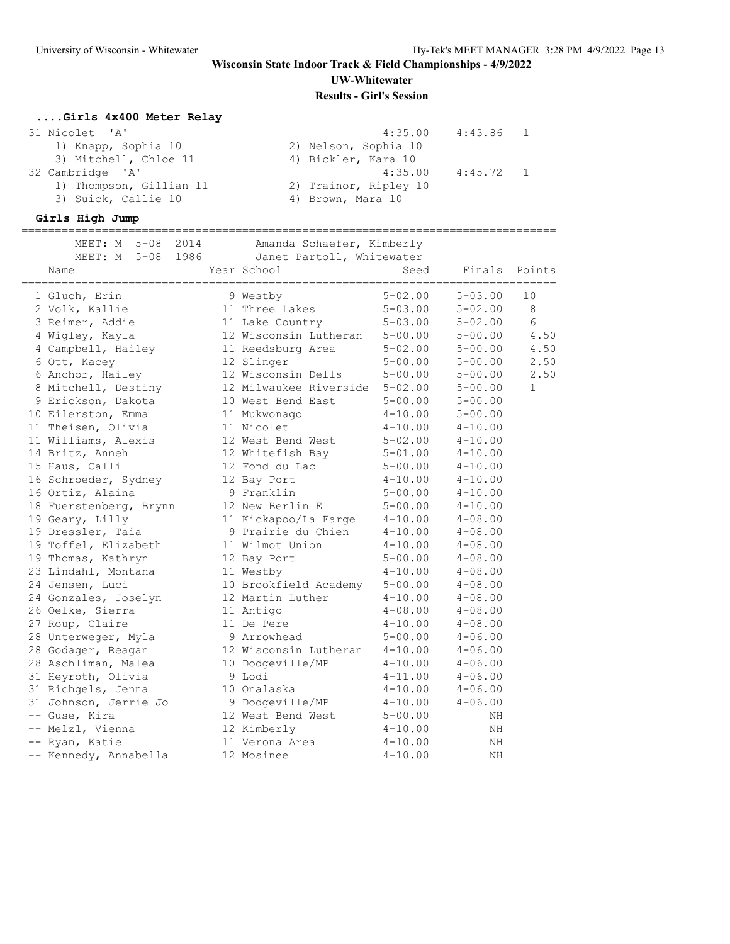# **Wisconsin State Indoor Track & Field Championships - 4/9/2022**

**UW-Whitewater**

# **Results - Girl's Session**

# **....Girls 4x400 Meter Relay**

| 31 Nicolet 'A'          | 4:35.00               | $4:43.86$ 1 |  |
|-------------------------|-----------------------|-------------|--|
| 1) Knapp, Sophia 10     | 2) Nelson, Sophia 10  |             |  |
| 3) Mitchell, Chloe 11   | 4) Bickler, Kara 10   |             |  |
| 32 Cambridge 'A'        | 4:35.00               | $4:45.72$ 1 |  |
| 1) Thompson, Gillian 11 | 2) Trainor, Ripley 10 |             |  |
| 3) Suick, Callie 10     | 4) Brown, Mara 10     |             |  |

### **Girls High Jump**

================================================================================

| $5 - 08$<br>2014<br>MEET: M | Amanda Schaefer, Kimberly                |             |             |                 |
|-----------------------------|------------------------------------------|-------------|-------------|-----------------|
| $5 - 08$<br>1986<br>MEET: M | Janet Partoll, Whitewater<br>Year School | Seed        | Finals      | Points          |
| Name                        |                                          |             |             |                 |
| 1 Gluch, Erin               | 9 Westby                                 | $5 - 02.00$ | $5 - 03.00$ | 10              |
| 2 Volk, Kallie              | 11 Three Lakes                           | $5 - 03.00$ | $5 - 02.00$ | 8               |
| 3 Reimer, Addie             | 11 Lake Country                          | $5 - 03.00$ | $5 - 02.00$ | $6\overline{6}$ |
| 4 Wigley, Kayla             | 12 Wisconsin Lutheran                    | $5 - 00.00$ | $5 - 00.00$ | 4.50            |
| 4 Campbell, Hailey          | 11 Reedsburg Area                        | $5 - 02.00$ | $5 - 00.00$ | 4.50            |
| 6 Ott, Kacey                | 12 Slinger                               | $5 - 00.00$ | $5 - 00.00$ | 2.50            |
| 6 Anchor, Hailey            | 12 Wisconsin Dells                       | $5 - 00.00$ | $5 - 00.00$ | 2.50            |
| 8 Mitchell, Destiny         | 12 Milwaukee Riverside                   | $5 - 02.00$ | $5 - 00.00$ | $\mathbf{1}$    |
| 9 Erickson, Dakota          | 10 West Bend East                        | $5 - 00.00$ | $5 - 00.00$ |                 |
| 10 Eilerston, Emma          | 11 Mukwonago                             | $4 - 10.00$ | $5 - 00.00$ |                 |
| 11 Theisen, Olivia          | 11 Nicolet                               | $4 - 10.00$ | $4 - 10.00$ |                 |
| 11 Williams, Alexis         | 12 West Bend West                        | $5 - 02.00$ | $4 - 10.00$ |                 |
| 14 Britz, Anneh             | 12 Whitefish Bay                         | $5 - 01.00$ | $4 - 10.00$ |                 |
| 15 Haus, Calli              | 12 Fond du Lac                           | $5 - 00.00$ | $4 - 10.00$ |                 |
| 16 Schroeder, Sydney        | 12 Bay Port                              | $4 - 10.00$ | $4 - 10.00$ |                 |
| 16 Ortiz, Alaina            | 9 Franklin                               | $5 - 00.00$ | $4 - 10.00$ |                 |
| 18 Fuerstenberg, Brynn      | 12 New Berlin E                          | $5 - 00.00$ | $4 - 10.00$ |                 |
| 19 Geary, Lilly             | 11 Kickapoo/La Farge                     | $4 - 10.00$ | $4 - 08.00$ |                 |
| 19 Dressler, Taia           | 9 Prairie du Chien                       | $4 - 10.00$ | $4 - 08.00$ |                 |
| 19 Toffel, Elizabeth        | 11 Wilmot Union                          | $4 - 10.00$ | $4 - 08.00$ |                 |
| 19 Thomas, Kathryn          | 12 Bay Port                              | $5 - 00.00$ | $4 - 08.00$ |                 |
| 23 Lindahl, Montana         | 11 Westby                                | $4 - 10.00$ | $4 - 08.00$ |                 |
| 24 Jensen, Luci             | 10 Brookfield Academy                    | $5 - 00.00$ | $4 - 08.00$ |                 |
| 24 Gonzales, Joselyn        | 12 Martin Luther                         | $4 - 10.00$ | $4 - 08.00$ |                 |
| 26 Oelke, Sierra            | 11 Antigo                                | $4 - 08.00$ | $4 - 08.00$ |                 |
| 27 Roup, Claire             | 11 De Pere                               | $4 - 10.00$ | $4 - 08.00$ |                 |
| 28 Unterweger, Myla         | 9 Arrowhead                              | $5 - 00.00$ | $4 - 06.00$ |                 |
| 28 Godager, Reagan          | 12 Wisconsin Lutheran                    | $4 - 10.00$ | $4 - 06.00$ |                 |
| 28 Aschliman, Malea         | 10 Dodgeville/MP                         | $4 - 10.00$ | $4 - 06.00$ |                 |
| 31 Heyroth, Olivia          | 9 Lodi                                   | $4 - 11.00$ | $4 - 06.00$ |                 |
| 31 Richgels, Jenna          | 10 Onalaska                              | $4 - 10.00$ | $4 - 06.00$ |                 |
| 31 Johnson, Jerrie Jo       | 9 Dodgeville/MP                          | $4 - 10.00$ | $4 - 06.00$ |                 |
| -- Guse, Kira               | 12 West Bend West                        | $5 - 00.00$ | ΝH          |                 |
| -- Melzl, Vienna            | 12 Kimberly                              | $4 - 10.00$ | NH          |                 |
| -- Ryan, Katie              | 11 Verona Area                           | $4 - 10.00$ | ΝH          |                 |
| -- Kennedy, Annabella       | 12 Mosinee                               | $4 - 10.00$ | ΝH          |                 |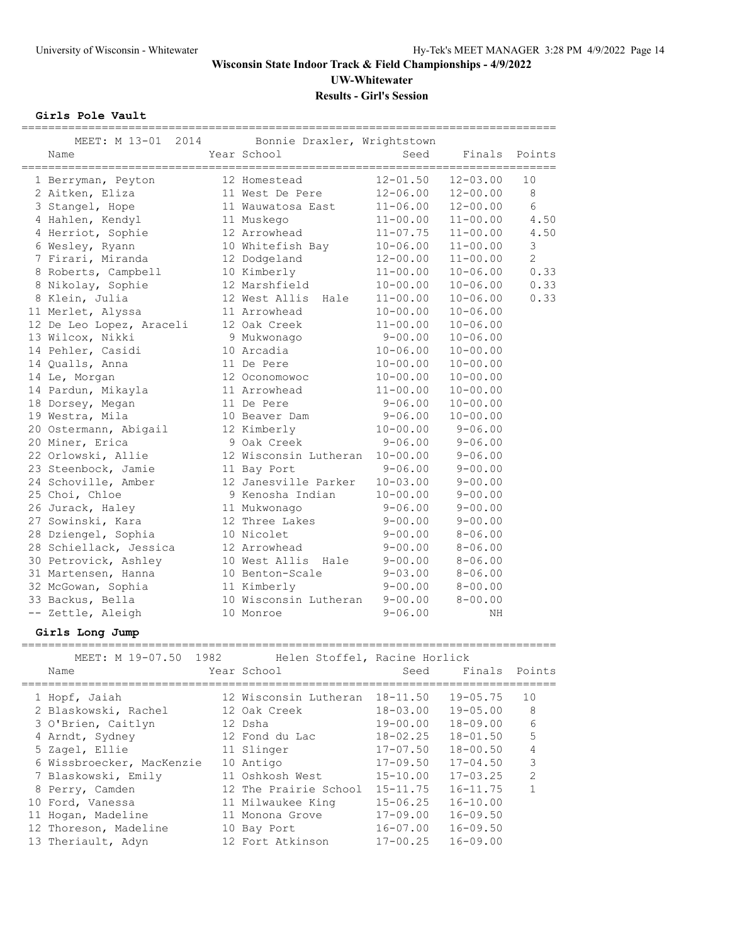**Girls Pole Vault**

| MEET: M 13-01 2014       | Bonnie Draxler, Wrightstown |              |              |                 |
|--------------------------|-----------------------------|--------------|--------------|-----------------|
| Name                     | Year School                 | Seed         | Finals       | Points          |
|                          |                             |              |              |                 |
| 1 Berryman, Peyton       | 12 Homestead                | $12 - 01.50$ | $12 - 03.00$ | 10              |
| 2 Aitken, Eliza          | 11 West De Pere             | $12 - 06.00$ | $12 - 00.00$ | 8               |
| 3 Stangel, Hope          | 11 Wauwatosa East           | $11 - 06.00$ | $12 - 00.00$ | $6\overline{6}$ |
| 4 Hahlen, Kendyl         | 11 Muskego                  | $11 - 00.00$ | $11 - 00.00$ | 4.50            |
| 4 Herriot, Sophie        | 12 Arrowhead                | $11 - 07.75$ | $11 - 00.00$ | 4.50            |
| 6 Wesley, Ryann          | 10 Whitefish Bay            | $10 - 06.00$ | $11 - 00.00$ | 3               |
| 7 Firari, Miranda        | 12 Dodgeland                | $12 - 00.00$ | $11 - 00.00$ | $\overline{c}$  |
| 8 Roberts, Campbell      | 10 Kimberly                 | $11 - 00.00$ | $10 - 06.00$ | 0.33            |
| 8 Nikolay, Sophie        | 12 Marshfield               | $10 - 00.00$ | $10 - 06.00$ | 0.33            |
| 8 Klein, Julia           | 12 West Allis<br>Hale       | $11 - 00.00$ | $10 - 06.00$ | 0.33            |
| 11 Merlet, Alyssa        | 11 Arrowhead                | $10 - 00.00$ | $10 - 06.00$ |                 |
| 12 De Leo Lopez, Araceli | 12 Oak Creek                | $11 - 00.00$ | $10 - 06.00$ |                 |
| 13 Wilcox, Nikki         | 9 Mukwonago                 | $9 - 00.00$  | $10 - 06.00$ |                 |
| 14 Pehler, Casidi        | 10 Arcadia                  | $10 - 06.00$ | $10 - 00.00$ |                 |
| 14 Qualls, Anna          | 11 De Pere                  | $10 - 00.00$ | $10 - 00.00$ |                 |
| 14 Le, Morgan            | 12 Oconomowoc               | $10 - 00.00$ | $10 - 00.00$ |                 |
| 14 Pardun, Mikayla       | 11 Arrowhead                | $11 - 00.00$ | $10 - 00.00$ |                 |
| 18 Dorsey, Megan         | 11 De Pere                  | $9 - 06.00$  | $10 - 00.00$ |                 |
| 19 Westra, Mila          | 10 Beaver Dam               | $9 - 06.00$  | $10 - 00.00$ |                 |
| 20 Ostermann, Abigail    | 12 Kimberly                 | $10 - 00.00$ | $9 - 06.00$  |                 |
| 20 Miner, Erica          | 9 Oak Creek                 | $9 - 06.00$  | $9 - 06.00$  |                 |
| 22 Orlowski, Allie       | 12 Wisconsin Lutheran       | $10 - 00.00$ | $9 - 06.00$  |                 |
| 23 Steenbock, Jamie      | 11 Bay Port                 | $9 - 06.00$  | $9 - 00.00$  |                 |
| 24 Schoville, Amber      | 12 Janesville Parker        | $10 - 03.00$ | $9 - 00.00$  |                 |
| 25 Choi, Chloe           | 9 Kenosha Indian            | $10 - 00.00$ | $9 - 00.00$  |                 |
| 26 Jurack, Haley         | 11 Mukwonago                | $9 - 06.00$  | $9 - 00.00$  |                 |
| 27 Sowinski, Kara        | 12 Three Lakes              | $9 - 00.00$  | $9 - 00.00$  |                 |
| 28 Dziengel, Sophia      | 10 Nicolet                  | $9 - 00.00$  | $8 - 06.00$  |                 |
| 28 Schiellack, Jessica   | 12 Arrowhead                | $9 - 00.00$  | $8 - 06.00$  |                 |
| 30 Petrovick, Ashley     | 10 West Allis Hale          | $9 - 00.00$  | $8 - 06.00$  |                 |
| 31 Martensen, Hanna      | 10 Benton-Scale             | $9 - 03.00$  | $8 - 06.00$  |                 |
| 32 McGowan, Sophia       | 11 Kimberly                 | $9 - 00.00$  | $8 - 00.00$  |                 |
| 33 Backus, Bella         | 10 Wisconsin Lutheran       | $9 - 00.00$  | $8 - 00.00$  |                 |
| -- Zettle, Aleigh        | 10 Monroe                   | $9 - 06.00$  | NH           |                 |

#### **Girls Long Jump**

| MEET: M 19-07.50 1982<br>Name | Helen Stoffel, Racine Horlick<br>Year School | Seed         | Finals       | Points         |
|-------------------------------|----------------------------------------------|--------------|--------------|----------------|
| 1 Hopf, Jaiah                 | 12 Wisconsin Lutheran                        | $18 - 11.50$ | $19 - 05.75$ | 10             |
| 2 Blaskowski, Rachel          | 12 Oak Creek                                 | $18 - 03.00$ | $19 - 05.00$ | 8              |
| 3 O'Brien, Caitlyn            | 12 Dsha                                      | $19 - 00.00$ | $18 - 09.00$ | 6              |
| 4 Arndt, Sydney               | 12 Fond du Lac                               | $18 - 02.25$ | $18 - 01.50$ | 5              |
| 5 Zagel, Ellie                | 11 Slinger                                   | $17 - 07.50$ | $18 - 00.50$ | 4              |
| 6 Wissbroecker, MacKenzie     | 10 Antigo                                    | $17 - 09.50$ | $17 - 04.50$ | 3              |
| 7 Blaskowski, Emily           | 11 Oshkosh West                              | $15 - 10.00$ | $17 - 03.25$ | $\mathfrak{D}$ |
| 8 Perry, Camden               | 12 The Prairie School                        | 15-11.75     | $16 - 11.75$ |                |
| 10 Ford, Vanessa              | 11 Milwaukee King                            | $15 - 06.25$ | $16 - 10.00$ |                |
| 11 Hogan, Madeline            | 11 Monona Grove                              | $17 - 09.00$ | $16 - 09.50$ |                |
| 12 Thoreson, Madeline         | 10 Bay Port                                  | $16 - 07.00$ | $16 - 09.50$ |                |
| 13 Theriault, Adyn            | 12 Fort Atkinson                             | $17 - 00.25$ | $16 - 09.00$ |                |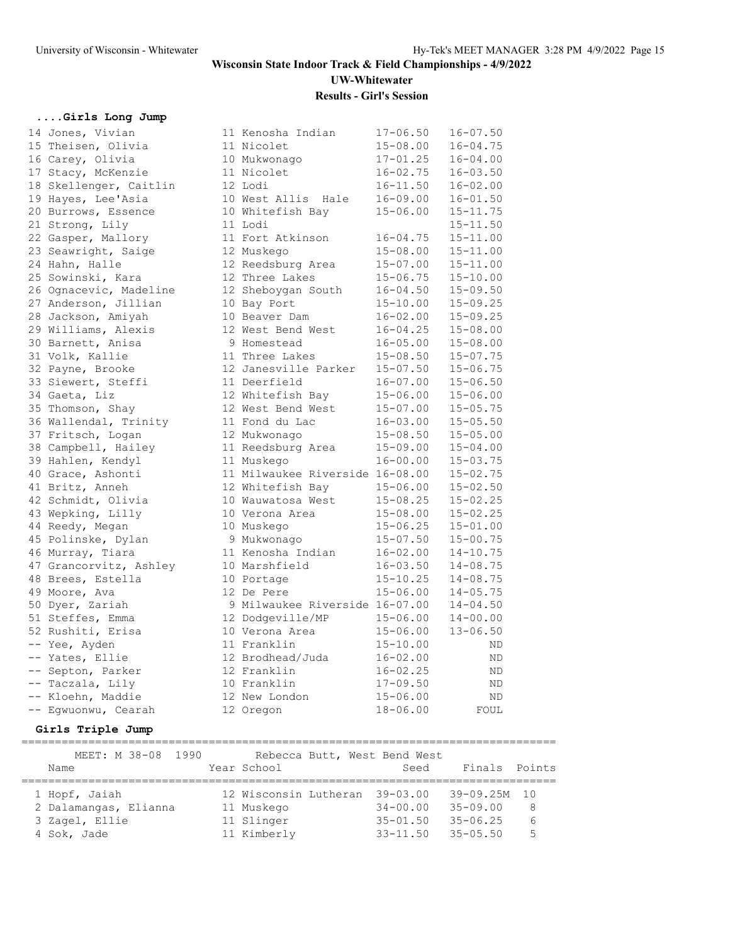# **....Girls Long Jump**

| 14 Jones, Vivian       | 11 Kenosha Indian               | $17 - 06.50$ | $16 - 07.50$ |
|------------------------|---------------------------------|--------------|--------------|
| 15 Theisen, Olivia     | 11 Nicolet                      | $15 - 08.00$ | $16 - 04.75$ |
| 16 Carey, Olivia       | 10 Mukwonago                    | 17-01.25     | $16 - 04.00$ |
| 17 Stacy, McKenzie     | 11 Nicolet                      | $16 - 02.75$ | $16 - 03.50$ |
| 18 Skellenger, Caitlin | 12 Lodi                         | $16 - 11.50$ | $16 - 02.00$ |
| 19 Hayes, Lee'Asia     | 10 West Allis Hale              | 16-09.00     | $16 - 01.50$ |
| 20 Burrows, Essence    | 10 Whitefish Bay                | $15 - 06.00$ | $15 - 11.75$ |
| 21 Strong, Lily        | 11 Lodi                         |              | $15 - 11.50$ |
| 22 Gasper, Mallory     | 11 Fort Atkinson                | $16 - 04.75$ | $15 - 11.00$ |
| 23 Seawright, Saige    | 12 Muskego                      | $15 - 08.00$ | $15 - 11.00$ |
| 24 Hahn, Halle         | 12 Reedsburg Area               | $15 - 07.00$ | $15 - 11.00$ |
| 25 Sowinski, Kara      | 12 Three Lakes                  | $15 - 06.75$ | $15 - 10.00$ |
| 26 Ognacevic, Madeline | 12 Sheboygan South              | $16 - 04.50$ | $15 - 09.50$ |
| 27 Anderson, Jillian   | 10 Bay Port                     | $15 - 10.00$ | $15 - 09.25$ |
| 28 Jackson, Amiyah     | 10 Beaver Dam                   | $16 - 02.00$ | $15 - 09.25$ |
| 29 Williams, Alexis    | 12 West Bend West               | $16 - 04.25$ | $15 - 08.00$ |
| 30 Barnett, Anisa      | 9 Homestead                     | $16 - 05.00$ | $15 - 08.00$ |
| 31 Volk, Kallie        | 11 Three Lakes                  | $15 - 08.50$ | $15 - 07.75$ |
| 32 Payne, Brooke       | 12 Janesville Parker            | $15 - 07.50$ | $15 - 06.75$ |
| 33 Siewert, Steffi     | 11 Deerfield                    | $16 - 07.00$ | $15 - 06.50$ |
| 34 Gaeta, Liz          | 12 Whitefish Bay                | $15 - 06.00$ | $15 - 06.00$ |
| 35 Thomson, Shay       | 12 West Bend West               | $15 - 07.00$ | $15 - 05.75$ |
| 36 Wallendal, Trinity  | 11 Fond du Lac                  | 16-03.00     | $15 - 05.50$ |
| 37 Fritsch, Logan      | 12 Mukwonago                    | $15 - 08.50$ | $15 - 05.00$ |
| 38 Campbell, Hailey    | 11 Reedsburg Area               | $15 - 09.00$ | $15 - 04.00$ |
| 39 Hahlen, Kendyl      | 11 Muskego                      | $16 - 00.00$ | $15 - 03.75$ |
| 40 Grace, Ashonti      | 11 Milwaukee Riverside 16-08.00 |              | $15 - 02.75$ |
| 41 Britz, Anneh        | 12 Whitefish Bay                | $15 - 06.00$ | $15 - 02.50$ |
| 42 Schmidt, Olivia     | 10 Wauwatosa West               | $15 - 08.25$ | $15 - 02.25$ |
| 43 Wepking, Lilly      | 10 Verona Area                  | $15 - 08.00$ | $15 - 02.25$ |
| 44 Reedy, Megan        | 10 Muskego                      | $15 - 06.25$ | $15 - 01.00$ |
| 45 Polinske, Dylan     | 9 Mukwonago                     | $15 - 07.50$ | $15 - 00.75$ |
| 46 Murray, Tiara       | 11 Kenosha Indian               | $16 - 02.00$ | $14 - 10.75$ |
| 47 Grancorvitz, Ashley | 10 Marshfield                   | $16 - 03.50$ | $14 - 08.75$ |
| 48 Brees, Estella      | 10 Portage                      | $15 - 10.25$ | $14 - 08.75$ |
| 49 Moore, Ava          | 12 De Pere                      | $15 - 06.00$ | $14 - 05.75$ |
| 50 Dyer, Zariah        | 9 Milwaukee Riverside 16-07.00  |              | $14 - 04.50$ |
| 51 Steffes, Emma       | 12 Dodgeville/MP                | $15 - 06.00$ | $14 - 00.00$ |
| 52 Rushiti, Erisa      | 10 Verona Area                  | $15 - 06.00$ | $13 - 06.50$ |
| -- Yee, Ayden          | 11 Franklin                     | $15 - 10.00$ | ND           |
| -- Yates, Ellie        | 12 Brodhead/Juda                | $16 - 02.00$ | ND           |
| -- Septon, Parker      | 12 Franklin                     | $16 - 02.25$ | ND           |
| -- Taczala, Lily       | 10 Franklin                     | $17 - 09.50$ | ND           |
| -- Kloehn, Maddie      | 12 New London                   | $15 - 06.00$ | ND.          |
| -- Eqwuonwu, Cearah    | 12 Oregon                       | 18-06.00     | FOUL         |

#### **Girls Triple Jump**

================================================================================ MEET: M 38-08 1990 Rebecca Butt, West Bend West

| MEET: M CO-AQ TAGA    | Repecca Bull, West Bend West   |                           |               |   |
|-----------------------|--------------------------------|---------------------------|---------------|---|
| Name                  | Year School                    | Seed                      | Finals Points |   |
|                       |                                |                           |               |   |
| 1 Hopf, Jaiah         | 12 Wisconsin Lutheran 39-03.00 |                           | 39-09.25M 10  |   |
| 2 Dalamangas, Elianna | 11 Muskego                     | $34 - 00.00$              | $35 - 09.00$  | 8 |
| 3 Zagel, Ellie        | 11 Slinger                     | $35 - 01.50$              | $35 - 06.25$  | 6 |
| 4 Sok, Jade           | 11 Kimberly                    | $33 - 11.50$ $35 - 05.50$ |               | 5 |
|                       |                                |                           |               |   |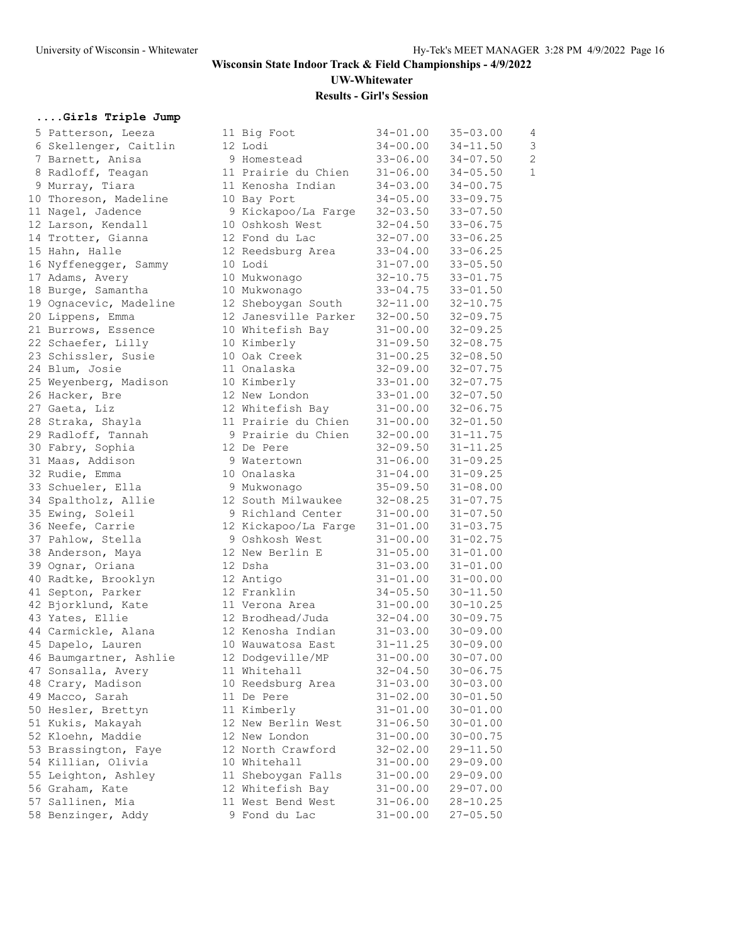# **....Girls Triple Jump**

|                  | 5 Patterson, Leeza                                |
|------------------|---------------------------------------------------|
| 6                | Skellenger, Caitlin                               |
| $\boldsymbol{7}$ | Barnett, Anisa                                    |
| $\delta$         | Radloff, Teagan                                   |
|                  |                                                   |
| 9                | Murray, Tiara                                     |
| 10               | Thoreson, Madeline                                |
| 11               | Nagel, Jadence                                    |
| 12               | Larson, Kendall                                   |
| 14               | Trotter, Gianna                                   |
| 15               | Hahn, Halle                                       |
| 16               | Nyffenegger, Sammy                                |
| 17               | Adams, Avery                                      |
| 18               | Burge, Samantha                                   |
| 19               | Ognacevic, Madeline                               |
| 20               |                                                   |
| 21               | Lippens, Emma<br>Burrows, Essence                 |
| 22               | Schaefer, Lilly                                   |
| 23               | Schissler, Susie                                  |
|                  |                                                   |
| 24               | Blum, Josie                                       |
| 25               | Weyenberg, Madison                                |
| 26               | Hacker, Bre                                       |
| 27               | Gaeta, Liz                                        |
| 28               | Straka, Shayla                                    |
| 29               | Radloff, Tannah                                   |
| 30               | Fabry, Sophia                                     |
| 31               | Maas, Addison                                     |
| 32               |                                                   |
|                  | Rudie, Emma                                       |
| 33               | Schueler, Ella                                    |
|                  |                                                   |
| 34               | Spaltholz, Allie                                  |
| 35               | Ewing, Soleil                                     |
| 36               | Neefe, Carrie                                     |
| 37               | Pahlow, Stella                                    |
| 38               | Anderson, Maya                                    |
| 39               | Ognar, Oriana                                     |
| 40               | Radtke, Brooklyn                                  |
|                  | 41 Septon, Parker                                 |
|                  | 42 Bjorklund, Kate                                |
|                  | 43 Yates, Ellie                                   |
| 44               | Carmickle, Alana                                  |
|                  | 45 Dapelo, Lauren                                 |
|                  | 46 Baumgartner, Ashlie                            |
| 47               | Sonsalla, Avery                                   |
| 48               |                                                   |
| 49               | Crary, Madison                                    |
| 50               |                                                   |
| 51               | Macco, Sarah<br>Hesler, Brettyn<br>Kukis, Makayah |
|                  |                                                   |
| 52               | Kloehn, Maddie                                    |
| 53<br>54         | Brassington, Faye                                 |
|                  | Killian, Olivia                                   |
| 55               | Leighton, Ashley                                  |
| 56               | Graham, Kate                                      |
| 57               | Sallinen, Mia<br>58 Benzinger, Addy               |

| 5 Patterson, Leeza     | 11 Big Foot          | $34 - 01.00$ | $35 - 03.00$ | 4              |
|------------------------|----------------------|--------------|--------------|----------------|
| 6 Skellenger, Caitlin  | 12 Lodi              | $34 - 00.00$ | $34 - 11.50$ | 3              |
| 7 Barnett, Anisa       | 9 Homestead          | $33 - 06.00$ | $34 - 07.50$ | $\overline{c}$ |
| 8 Radloff, Teagan      | 11 Prairie du Chien  | $31 - 06.00$ | $34 - 05.50$ | $\mathbf{1}$   |
| 9 Murray, Tiara        | 11 Kenosha Indian    | $34 - 03.00$ | $34 - 00.75$ |                |
| 10 Thoreson, Madeline  | 10 Bay Port          | $34 - 05.00$ | $33 - 09.75$ |                |
| 11 Nagel, Jadence      | 9 Kickapoo/La Farge  | $32 - 03.50$ | $33 - 07.50$ |                |
| 12 Larson, Kendall     | 10 Oshkosh West      | $32 - 04.50$ | $33 - 06.75$ |                |
| 14 Trotter, Gianna     | 12 Fond du Lac       | $32 - 07.00$ | $33 - 06.25$ |                |
| 15 Hahn, Halle         | 12 Reedsburg Area    | $33 - 04.00$ | $33 - 06.25$ |                |
| 16 Nyffenegger, Sammy  | 10 Lodi              | $31 - 07.00$ | $33 - 05.50$ |                |
| 17 Adams, Avery        | 10 Mukwonago         | $32 - 10.75$ | $33 - 01.75$ |                |
| 18 Burge, Samantha     | 10 Mukwonago         | $33 - 04.75$ | $33 - 01.50$ |                |
| 19 Ognacevic, Madeline | 12 Sheboygan South   | $32 - 11.00$ | $32 - 10.75$ |                |
| 20 Lippens, Emma       | 12 Janesville Parker | $32 - 00.50$ | $32 - 09.75$ |                |
| 21 Burrows, Essence    | 10 Whitefish Bay     | $31 - 00.00$ | $32 - 09.25$ |                |
| 22 Schaefer, Lilly     | 10 Kimberly          | $31 - 09.50$ | $32 - 08.75$ |                |
| 23 Schissler, Susie    | 10 Oak Creek         | $31 - 00.25$ | $32 - 08.50$ |                |
| 24 Blum, Josie         | 11 Onalaska          | $32 - 09.00$ | $32 - 07.75$ |                |
| 25 Weyenberg, Madison  | 10 Kimberly          | $33 - 01.00$ | $32 - 07.75$ |                |
| 26 Hacker, Bre         | 12 New London        | $33 - 01.00$ | $32 - 07.50$ |                |
| 27 Gaeta, Liz          | 12 Whitefish Bay     | $31 - 00.00$ | $32 - 06.75$ |                |
| 28 Straka, Shayla      | 11 Prairie du Chien  | $31 - 00.00$ | $32 - 01.50$ |                |
| 29 Radloff, Tannah     | 9 Prairie du Chien   | $32 - 00.00$ | $31 - 11.75$ |                |
|                        |                      | $32 - 09.50$ | $31 - 11.25$ |                |
| 30 Fabry, Sophia       | 12 De Pere           |              |              |                |
| 31 Maas, Addison       | 9 Watertown          | $31 - 06.00$ | $31 - 09.25$ |                |
| 32 Rudie, Emma         | 10 Onalaska          | $31 - 04.00$ | $31 - 09.25$ |                |
| 33 Schueler, Ella      | 9 Mukwonago          | $35 - 09.50$ | $31 - 08.00$ |                |
| 34 Spaltholz, Allie    | 12 South Milwaukee   | $32 - 08.25$ | $31 - 07.75$ |                |
| 35 Ewing, Soleil       | 9 Richland Center    | $31 - 00.00$ | $31 - 07.50$ |                |
| 36 Neefe, Carrie       | 12 Kickapoo/La Farge | $31 - 01.00$ | $31 - 03.75$ |                |
| 37 Pahlow, Stella      | 9 Oshkosh West       | $31 - 00.00$ | $31 - 02.75$ |                |
| 38 Anderson, Maya      | 12 New Berlin E      | $31 - 05.00$ | $31 - 01.00$ |                |
| 39 Ognar, Oriana       | 12 Dsha              | $31 - 03.00$ | $31 - 01.00$ |                |
| 40 Radtke, Brooklyn    | 12 Antigo            | $31 - 01.00$ | $31 - 00.00$ |                |
| 41 Septon, Parker      | 12 Franklin          | $34 - 05.50$ | $30 - 11.50$ |                |
| 42 Bjorklund, Kate     | 11 Verona Area       | $31 - 00.00$ | $30 - 10.25$ |                |
| 43 Yates, Ellie        | 12 Brodhead/Juda     | $32 - 04.00$ | $30 - 09.75$ |                |
| 44 Carmickle, Alana    | 12 Kenosha Indian    | $31 - 03.00$ | $30 - 09.00$ |                |
| 45 Dapelo, Lauren      | 10 Wauwatosa East    | $31 - 11.25$ | $30 - 09.00$ |                |
| 46 Baumgartner, Ashlie | 12 Dodgeville/MP     | $31 - 00.00$ | $30 - 07.00$ |                |
| 47 Sonsalla, Avery     | 11 Whitehall         | $32 - 04.50$ | 30-06.75     |                |
| 48 Crary, Madison      | 10 Reedsburg Area    | $31 - 03.00$ | $30 - 03.00$ |                |
| 49 Macco, Sarah        | 11 De Pere           | $31 - 02.00$ | $30 - 01.50$ |                |
| 50 Hesler, Brettyn     | 11 Kimberly          | $31 - 01.00$ | $30 - 01.00$ |                |
| 51 Kukis, Makayah      | 12 New Berlin West   | $31 - 06.50$ | $30 - 01.00$ |                |
| 52 Kloehn, Maddie      | 12 New London        | $31 - 00.00$ | $30 - 00.75$ |                |
| 53 Brassington, Faye   | 12 North Crawford    | $32 - 02.00$ | 29-11.50     |                |
| 54 Killian, Olivia     | 10 Whitehall         | $31 - 00.00$ | $29 - 09.00$ |                |
| 55 Leighton, Ashley    | 11 Sheboygan Falls   | $31 - 00.00$ | $29 - 09.00$ |                |
| 56 Graham, Kate        | 12 Whitefish Bay     | $31 - 00.00$ | $29 - 07.00$ |                |
| 57 Sallinen, Mia       | 11 West Bend West    | $31 - 06.00$ | $28 - 10.25$ |                |
| 58 Benzinger, Addy     | 9 Fond du Lac        | $31 - 00.00$ | $27 - 05.50$ |                |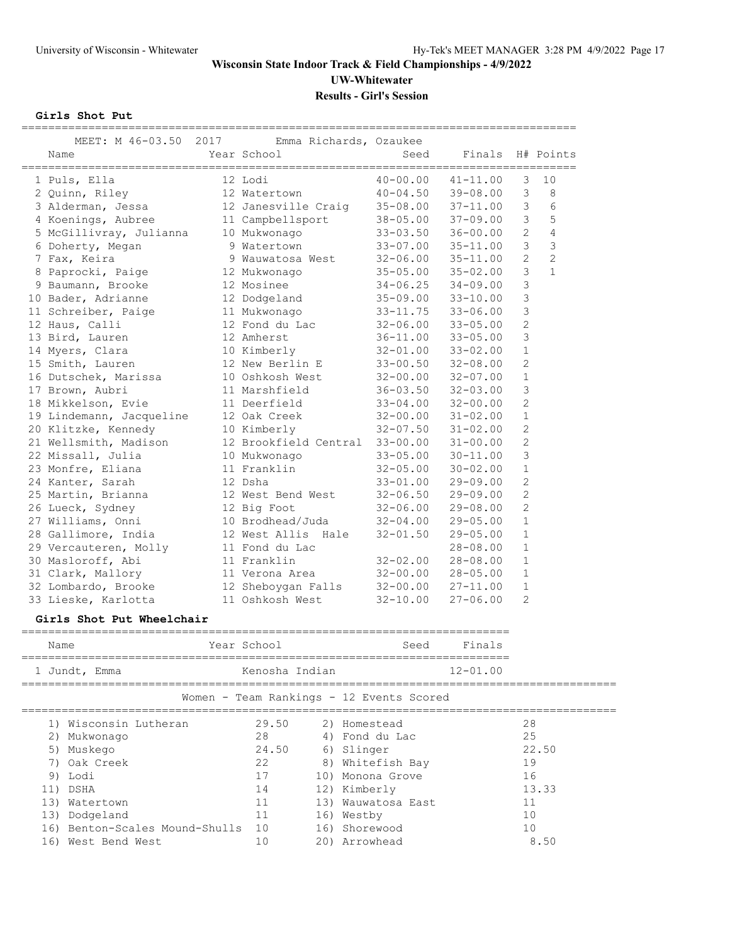**Girls Shot Put**

| MEET: M 46-03.50 2017<br>Name | Emma Richards, Ozaukee<br>Year School | Seed         | Finals       |                | H# Points      |
|-------------------------------|---------------------------------------|--------------|--------------|----------------|----------------|
| 1 Puls, Ella                  | 12 Lodi                               | $40 - 00.00$ | $41 - 11.00$ | 3              | 10             |
| 2 Quinn, Riley                | 12 Watertown                          | $40 - 04.50$ | $39 - 08.00$ | 3              | 8              |
| 3 Alderman, Jessa             | 12 Janesville Craig                   | $35 - 08.00$ | $37 - 11.00$ | 3              | 6              |
| 4 Koenings, Aubree            | 11 Campbellsport                      | $38 - 05.00$ | $37 - 09.00$ | 3              | 5              |
| 5 McGillivray, Julianna       | 10 Mukwonago                          | $33 - 03.50$ | $36 - 00.00$ | $\overline{2}$ | $\sqrt{4}$     |
| 6 Doherty, Megan              | 9 Watertown                           | $33 - 07.00$ | $35 - 11.00$ | 3              | $\overline{3}$ |
| 7 Fax, Keira                  | 9 Wauwatosa West                      | $32 - 06.00$ | $35 - 11.00$ | $\overline{2}$ | $\overline{c}$ |
| 8 Paprocki, Paige             | 12 Mukwonago                          | $35 - 05.00$ | $35 - 02.00$ | $\mathfrak{Z}$ | $\mathbf{1}$   |
| 9 Baumann, Brooke             | 12 Mosinee                            | $34 - 06.25$ | $34 - 09.00$ | 3              |                |
| 10 Bader, Adrianne            | 12 Dodgeland                          | $35 - 09.00$ | $33 - 10.00$ | 3              |                |
| 11 Schreiber, Paige           | 11 Mukwonago                          | $33 - 11.75$ | $33 - 06.00$ | 3              |                |
| 12 Haus, Calli                | 12 Fond du Lac                        | $32 - 06.00$ | $33 - 05.00$ | $\overline{2}$ |                |
| 13 Bird, Lauren               | 12 Amherst                            | $36 - 11.00$ | $33 - 05.00$ | 3              |                |
| 14 Myers, Clara               | 10 Kimberly                           | $32 - 01.00$ | $33 - 02.00$ | $\mathbf{1}$   |                |
| 15 Smith, Lauren              | 12 New Berlin E                       | $33 - 00.50$ | $32 - 08.00$ | $\overline{c}$ |                |
| 16 Dutschek, Marissa          | 10 Oshkosh West                       | $32 - 00.00$ | $32 - 07.00$ | $\mathbf{1}$   |                |
| 17 Brown, Aubri               | 11 Marshfield                         | $36 - 03.50$ | $32 - 03.00$ | 3              |                |
| 18 Mikkelson, Evie            | 11 Deerfield                          | $33 - 04.00$ | $32 - 00.00$ | $\overline{c}$ |                |
| 19 Lindemann, Jacqueline      | 12 Oak Creek                          | $32 - 00.00$ | $31 - 02.00$ | $\mathbf{1}$   |                |
| 20 Klitzke, Kennedy           | 10 Kimberly                           | $32 - 07.50$ | $31 - 02.00$ | $\overline{c}$ |                |
| 21 Wellsmith, Madison         | 12 Brookfield Central                 | $33 - 00.00$ | $31 - 00.00$ | $\overline{c}$ |                |
| 22 Missall, Julia             | 10 Mukwonago                          | $33 - 05.00$ | $30 - 11.00$ | 3              |                |
| 23 Monfre, Eliana             | 11 Franklin                           | $32 - 05.00$ | $30 - 02.00$ | $\mathbf{1}$   |                |
| 24 Kanter, Sarah              | 12 Dsha                               | $33 - 01.00$ | $29 - 09.00$ | $\mathbf{2}$   |                |
| 25 Martin, Brianna            | 12 West Bend West                     | $32 - 06.50$ | $29 - 09.00$ | $\mathbf{2}$   |                |
| 26 Lueck, Sydney              | 12 Big Foot                           | $32 - 06.00$ | $29 - 08.00$ | $\overline{2}$ |                |
| 27 Williams, Onni             | 10 Brodhead/Juda                      | $32 - 04.00$ | $29 - 05.00$ | $\mathbf{1}$   |                |
| 28 Gallimore, India           | 12 West Allis Hale                    | $32 - 01.50$ | $29 - 05.00$ | $\mathbf{1}$   |                |
| 29 Vercauteren, Molly         | 11 Fond du Lac                        |              | $28 - 08.00$ | $\mathbf{1}$   |                |
| 30 Masloroff, Abi             | 11 Franklin                           | $32 - 02.00$ | $28 - 08.00$ | $\mathbf{1}$   |                |
| 31 Clark, Mallory             | 11 Verona Area                        | $32 - 00.00$ | $28 - 05.00$ | $\mathbf{1}$   |                |
| 32 Lombardo, Brooke           | 12 Sheboygan Falls                    | $32 - 00.00$ | $27 - 11.00$ | $\mathbf{1}$   |                |
| 33 Lieske, Karlotta           | 11 Oshkosh West                       | $32 - 10.00$ | $27 - 06.00$ | $\overline{2}$ |                |

#### **Girls Shot Put Wheelchair**

| Name          | Year School                              | Seed | Finals       |  |
|---------------|------------------------------------------|------|--------------|--|
| 1 Jundt, Emma | Kenosha Indian                           |      | $12 - 01.00$ |  |
|               | Women - Team Rankings - 12 Events Scored |      |              |  |

|     | 1) Wisconsin Lutheran          | 29.50 | 2) | Homestead          | 28    |
|-----|--------------------------------|-------|----|--------------------|-------|
|     | 2) Mukwonago                   | 28    |    | 4) Fond du Lac     | 25    |
|     | 5) Muskego                     | 24.50 |    | 6) Slinger         | 22.50 |
|     | 7) Oak Creek                   | 22.   |    | 8) Whitefish Bay   | 19    |
|     | 9) Lodi                        | 17    |    | 10) Monona Grove   | 16    |
|     | 11) DSHA                       | 14    |    | 12) Kimberly       | 13.33 |
|     | 13) Watertown                  |       |    | 13) Wauwatosa East | 11    |
|     | 13) Dodgeland                  | 11    |    | 16) Westby         | 10    |
|     | 16) Benton-Scales Mound-Shulls | 10    |    | 16) Shorewood      | 10    |
| 16) | West Bend West                 | 10    |    | 20) Arrowhead      | 8.50  |